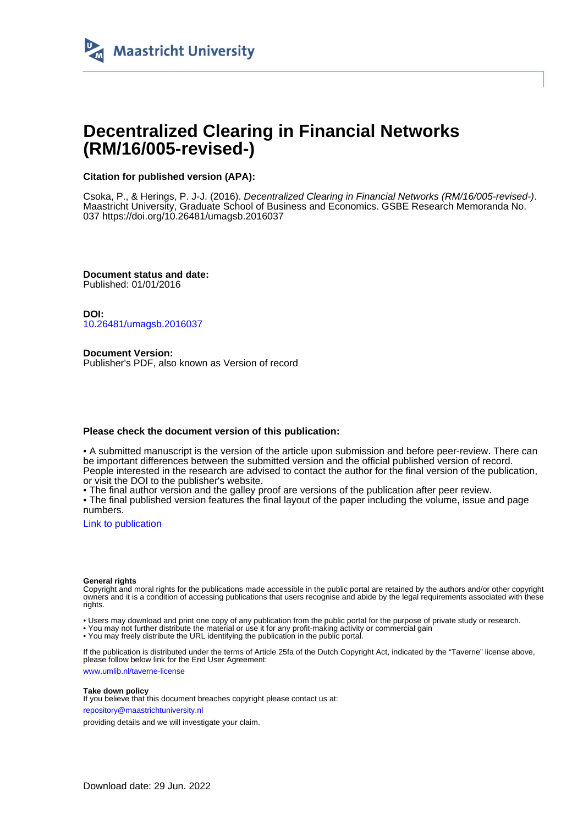

## **Decentralized Clearing in Financial Networks (RM/16/005-revised-)**

#### **Citation for published version (APA):**

Csoka, P., & Herings, P. J-J. (2016). Decentralized Clearing in Financial Networks (RM/16/005-revised-). Maastricht University, Graduate School of Business and Economics. GSBE Research Memoranda No. 037<https://doi.org/10.26481/umagsb.2016037>

**Document status and date:** Published: 01/01/2016

**DOI:** [10.26481/umagsb.2016037](https://doi.org/10.26481/umagsb.2016037)

**Document Version:** Publisher's PDF, also known as Version of record

#### **Please check the document version of this publication:**

• A submitted manuscript is the version of the article upon submission and before peer-review. There can be important differences between the submitted version and the official published version of record. People interested in the research are advised to contact the author for the final version of the publication, or visit the DOI to the publisher's website.

• The final author version and the galley proof are versions of the publication after peer review.

• The final published version features the final layout of the paper including the volume, issue and page numbers.

[Link to publication](https://cris.maastrichtuniversity.nl/en/publications/dc374567-fbf2-42e1-9abd-d9af9f368f57)

#### **General rights**

Copyright and moral rights for the publications made accessible in the public portal are retained by the authors and/or other copyright owners and it is a condition of accessing publications that users recognise and abide by the legal requirements associated with these rights.

• Users may download and print one copy of any publication from the public portal for the purpose of private study or research.

• You may not further distribute the material or use it for any profit-making activity or commercial gain

• You may freely distribute the URL identifying the publication in the public portal.

If the publication is distributed under the terms of Article 25fa of the Dutch Copyright Act, indicated by the "Taverne" license above, please follow below link for the End User Agreement:

www.umlib.nl/taverne-license

#### **Take down policy**

If you believe that this document breaches copyright please contact us at: repository@maastrichtuniversity.nl

providing details and we will investigate your claim.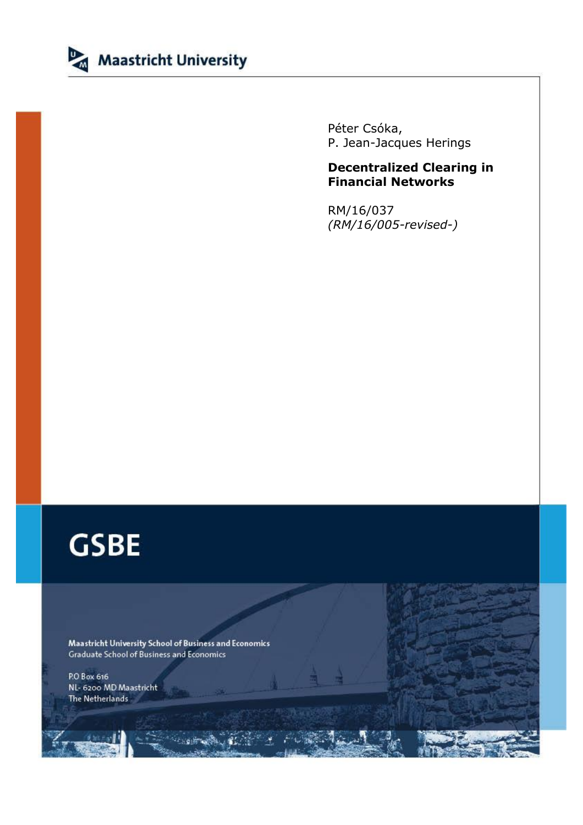

Péter Csóka, P. Jean-Jacques Herings

#### **Decentralized Clearing in Financial Networks**

RM/16/037 *(RM/16/005-revised-)*

# **GSBE**

Maastricht University School of Business and Economics Graduate School of Business and Economics

P.O Box 616 NL- 6200 MD Maastricht The Netherlands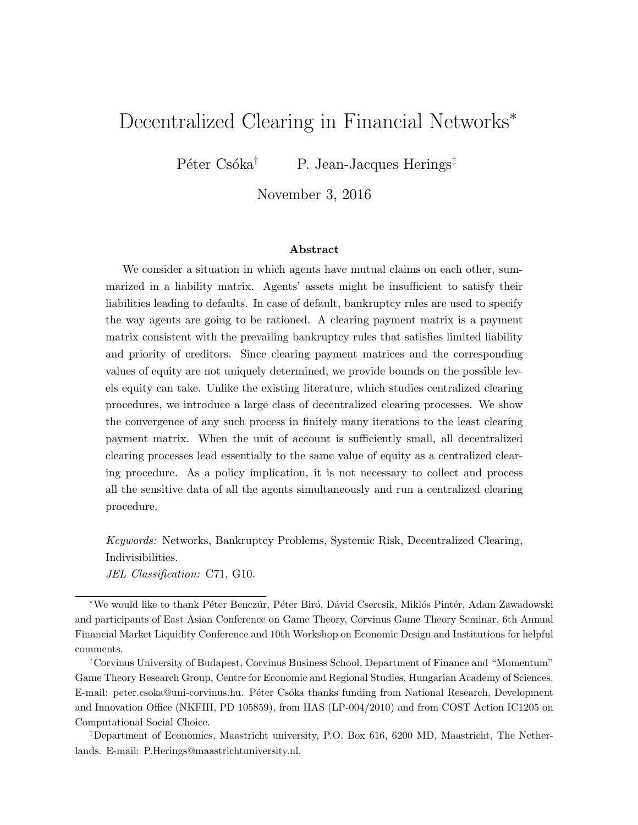# Decentralized Clearing in Financial Networks<sup>∗</sup>

Péter Csóka<sup>†</sup> P. Jean-Jacques Herings<sup>‡</sup>

November 3, 2016

#### Abstract

We consider a situation in which agents have mutual claims on each other, summarized in a liability matrix. Agents' assets might be insufficient to satisfy their liabilities leading to defaults. In case of default, bankruptcy rules are used to specify the way agents are going to be rationed. A clearing payment matrix is a payment matrix consistent with the prevailing bankruptcy rules that satisfies limited liability and priority of creditors. Since clearing payment matrices and the corresponding values of equity are not uniquely determined, we provide bounds on the possible levels equity can take. Unlike the existing literature, which studies centralized clearing procedures, we introduce a large class of decentralized clearing processes. We show the convergence of any such process in finitely many iterations to the least clearing payment matrix. When the unit of account is sufficiently small, all decentralized clearing processes lead essentially to the same value of equity as a centralized clearing procedure. As a policy implication, it is not necessary to collect and process all the sensitive data of all the agents simultaneously and run a centralized clearing procedure.

Keywords: Networks, Bankruptcy Problems, Systemic Risk, Decentralized Clearing, Indivisibilities.

JEL Classification: C71, G10.

<sup>∗</sup>We would like to thank P´eter Bencz´ur, P´eter Bir´o, D´avid Csercsik, Mikl´os Pint´er, Adam Zawadowski and participants of East Asian Conference on Game Theory, Corvinus Game Theory Seminar, 6th Annual Financial Market Liquidity Conference and 10th Workshop on Economic Design and Institutions for helpful comments.

<sup>†</sup>Corvinus University of Budapest, Corvinus Business School, Department of Finance and "Momentum" Game Theory Research Group, Centre for Economic and Regional Studies, Hungarian Academy of Sciences. E-mail: peter.csoka@uni-corvinus.hu. Péter Csóka thanks funding from National Research, Development and Innovation Office (NKFIH, PD 105859), from HAS (LP-004/2010) and from COST Action IC1205 on Computational Social Choice.

<sup>‡</sup>Department of Economics, Maastricht university, P.O. Box 616, 6200 MD, Maastricht, The Netherlands. E-mail: P.Herings@maastrichtuniversity.nl.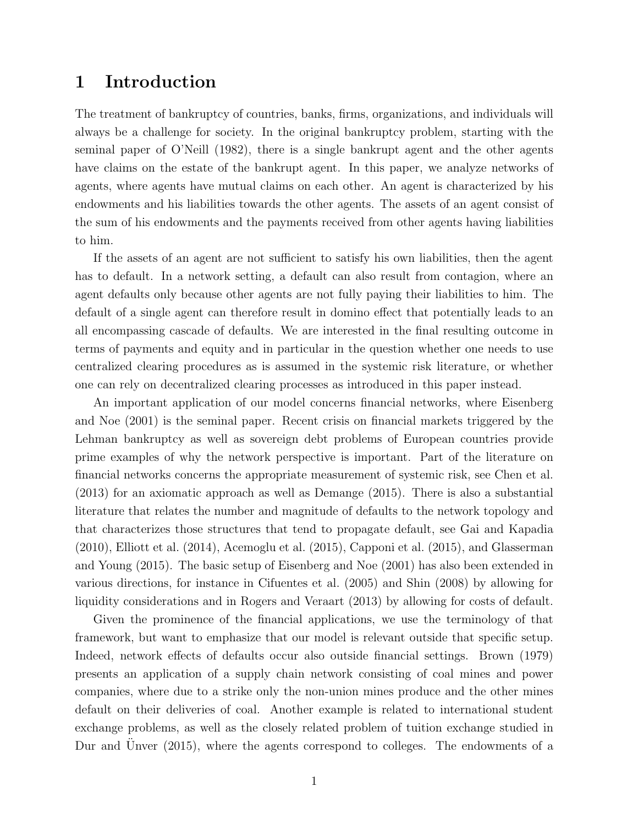## 1 Introduction

The treatment of bankruptcy of countries, banks, firms, organizations, and individuals will always be a challenge for society. In the original bankruptcy problem, starting with the seminal paper of O'Neill (1982), there is a single bankrupt agent and the other agents have claims on the estate of the bankrupt agent. In this paper, we analyze networks of agents, where agents have mutual claims on each other. An agent is characterized by his endowments and his liabilities towards the other agents. The assets of an agent consist of the sum of his endowments and the payments received from other agents having liabilities to him.

If the assets of an agent are not sufficient to satisfy his own liabilities, then the agent has to default. In a network setting, a default can also result from contagion, where an agent defaults only because other agents are not fully paying their liabilities to him. The default of a single agent can therefore result in domino effect that potentially leads to an all encompassing cascade of defaults. We are interested in the final resulting outcome in terms of payments and equity and in particular in the question whether one needs to use centralized clearing procedures as is assumed in the systemic risk literature, or whether one can rely on decentralized clearing processes as introduced in this paper instead.

An important application of our model concerns financial networks, where Eisenberg and Noe (2001) is the seminal paper. Recent crisis on financial markets triggered by the Lehman bankruptcy as well as sovereign debt problems of European countries provide prime examples of why the network perspective is important. Part of the literature on financial networks concerns the appropriate measurement of systemic risk, see Chen et al. (2013) for an axiomatic approach as well as Demange (2015). There is also a substantial literature that relates the number and magnitude of defaults to the network topology and that characterizes those structures that tend to propagate default, see Gai and Kapadia (2010), Elliott et al. (2014), Acemoglu et al. (2015), Capponi et al. (2015), and Glasserman and Young (2015). The basic setup of Eisenberg and Noe (2001) has also been extended in various directions, for instance in Cifuentes et al. (2005) and Shin (2008) by allowing for liquidity considerations and in Rogers and Veraart (2013) by allowing for costs of default.

Given the prominence of the financial applications, we use the terminology of that framework, but want to emphasize that our model is relevant outside that specific setup. Indeed, network effects of defaults occur also outside financial settings. Brown (1979) presents an application of a supply chain network consisting of coal mines and power companies, where due to a strike only the non-union mines produce and the other mines default on their deliveries of coal. Another example is related to international student exchange problems, as well as the closely related problem of tuition exchange studied in Dur and Unver  $(2015)$ , where the agents correspond to colleges. The endowments of a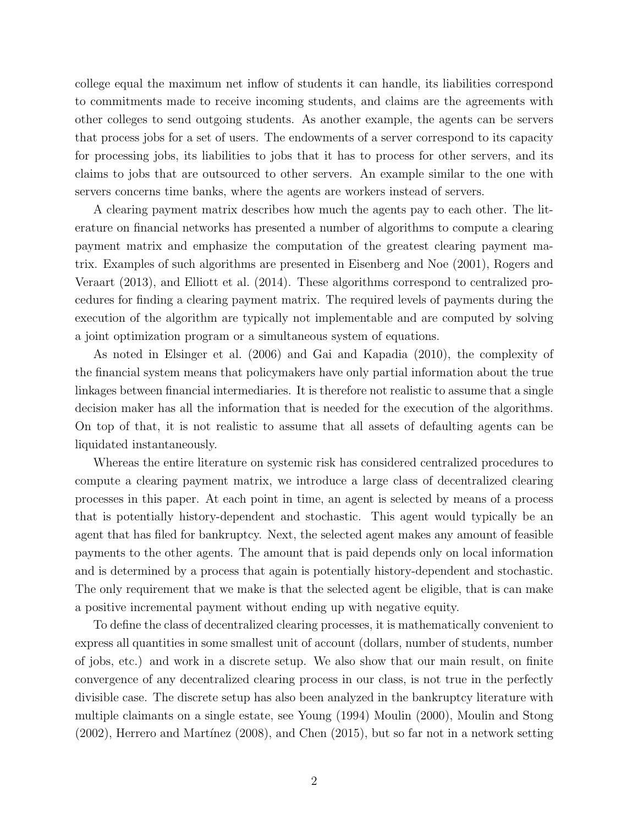college equal the maximum net inflow of students it can handle, its liabilities correspond to commitments made to receive incoming students, and claims are the agreements with other colleges to send outgoing students. As another example, the agents can be servers that process jobs for a set of users. The endowments of a server correspond to its capacity for processing jobs, its liabilities to jobs that it has to process for other servers, and its claims to jobs that are outsourced to other servers. An example similar to the one with servers concerns time banks, where the agents are workers instead of servers.

A clearing payment matrix describes how much the agents pay to each other. The literature on financial networks has presented a number of algorithms to compute a clearing payment matrix and emphasize the computation of the greatest clearing payment matrix. Examples of such algorithms are presented in Eisenberg and Noe (2001), Rogers and Veraart (2013), and Elliott et al. (2014). These algorithms correspond to centralized procedures for finding a clearing payment matrix. The required levels of payments during the execution of the algorithm are typically not implementable and are computed by solving a joint optimization program or a simultaneous system of equations.

As noted in Elsinger et al. (2006) and Gai and Kapadia (2010), the complexity of the financial system means that policymakers have only partial information about the true linkages between financial intermediaries. It is therefore not realistic to assume that a single decision maker has all the information that is needed for the execution of the algorithms. On top of that, it is not realistic to assume that all assets of defaulting agents can be liquidated instantaneously.

Whereas the entire literature on systemic risk has considered centralized procedures to compute a clearing payment matrix, we introduce a large class of decentralized clearing processes in this paper. At each point in time, an agent is selected by means of a process that is potentially history-dependent and stochastic. This agent would typically be an agent that has filed for bankruptcy. Next, the selected agent makes any amount of feasible payments to the other agents. The amount that is paid depends only on local information and is determined by a process that again is potentially history-dependent and stochastic. The only requirement that we make is that the selected agent be eligible, that is can make a positive incremental payment without ending up with negative equity.

To define the class of decentralized clearing processes, it is mathematically convenient to express all quantities in some smallest unit of account (dollars, number of students, number of jobs, etc.) and work in a discrete setup. We also show that our main result, on finite convergence of any decentralized clearing process in our class, is not true in the perfectly divisible case. The discrete setup has also been analyzed in the bankruptcy literature with multiple claimants on a single estate, see Young (1994) Moulin (2000), Moulin and Stong  $(2002)$ , Herrero and Martínez  $(2008)$ , and Chen  $(2015)$ , but so far not in a network setting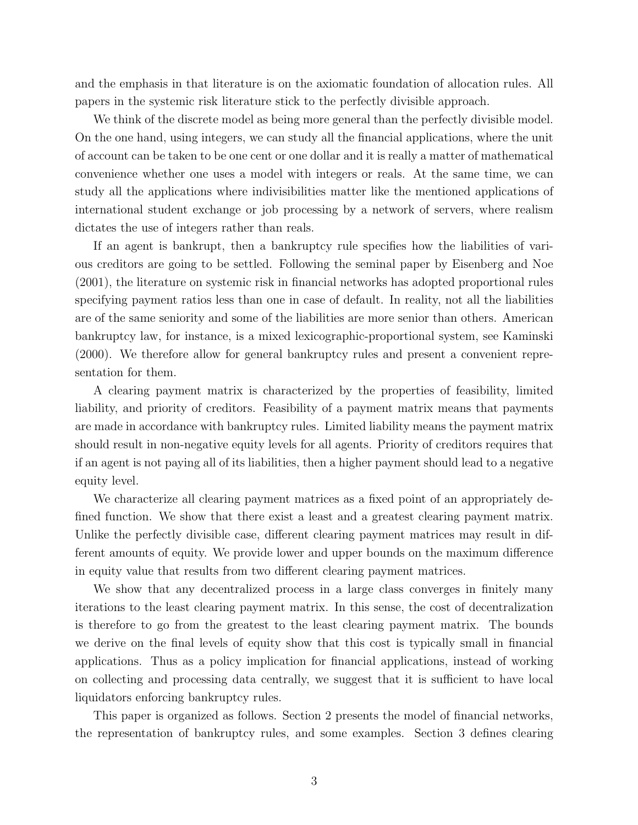and the emphasis in that literature is on the axiomatic foundation of allocation rules. All papers in the systemic risk literature stick to the perfectly divisible approach.

We think of the discrete model as being more general than the perfectly divisible model. On the one hand, using integers, we can study all the financial applications, where the unit of account can be taken to be one cent or one dollar and it is really a matter of mathematical convenience whether one uses a model with integers or reals. At the same time, we can study all the applications where indivisibilities matter like the mentioned applications of international student exchange or job processing by a network of servers, where realism dictates the use of integers rather than reals.

If an agent is bankrupt, then a bankruptcy rule specifies how the liabilities of various creditors are going to be settled. Following the seminal paper by Eisenberg and Noe (2001), the literature on systemic risk in financial networks has adopted proportional rules specifying payment ratios less than one in case of default. In reality, not all the liabilities are of the same seniority and some of the liabilities are more senior than others. American bankruptcy law, for instance, is a mixed lexicographic-proportional system, see Kaminski (2000). We therefore allow for general bankruptcy rules and present a convenient representation for them.

A clearing payment matrix is characterized by the properties of feasibility, limited liability, and priority of creditors. Feasibility of a payment matrix means that payments are made in accordance with bankruptcy rules. Limited liability means the payment matrix should result in non-negative equity levels for all agents. Priority of creditors requires that if an agent is not paying all of its liabilities, then a higher payment should lead to a negative equity level.

We characterize all clearing payment matrices as a fixed point of an appropriately defined function. We show that there exist a least and a greatest clearing payment matrix. Unlike the perfectly divisible case, different clearing payment matrices may result in different amounts of equity. We provide lower and upper bounds on the maximum difference in equity value that results from two different clearing payment matrices.

We show that any decentralized process in a large class converges in finitely many iterations to the least clearing payment matrix. In this sense, the cost of decentralization is therefore to go from the greatest to the least clearing payment matrix. The bounds we derive on the final levels of equity show that this cost is typically small in financial applications. Thus as a policy implication for financial applications, instead of working on collecting and processing data centrally, we suggest that it is sufficient to have local liquidators enforcing bankruptcy rules.

This paper is organized as follows. Section 2 presents the model of financial networks, the representation of bankruptcy rules, and some examples. Section 3 defines clearing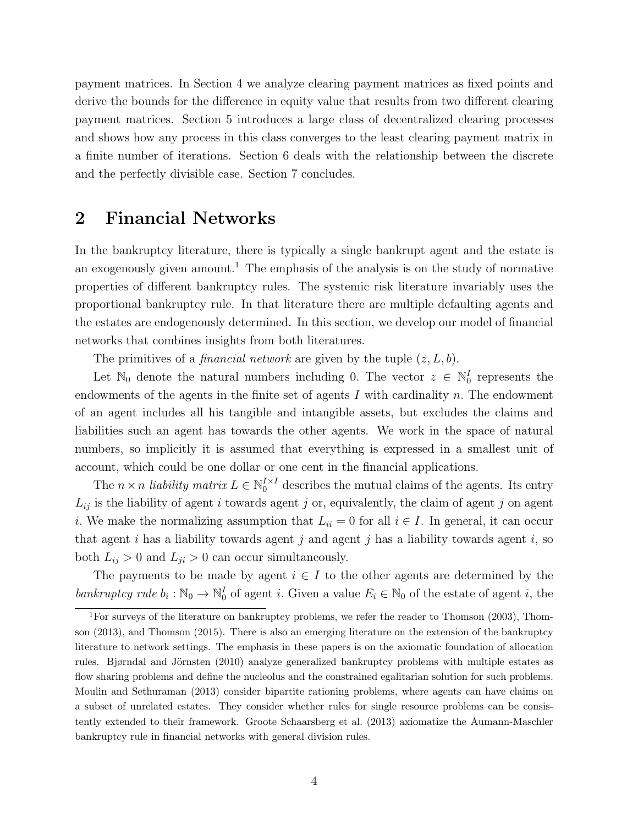payment matrices. In Section 4 we analyze clearing payment matrices as fixed points and derive the bounds for the difference in equity value that results from two different clearing payment matrices. Section 5 introduces a large class of decentralized clearing processes and shows how any process in this class converges to the least clearing payment matrix in a finite number of iterations. Section 6 deals with the relationship between the discrete and the perfectly divisible case. Section 7 concludes.

## 2 Financial Networks

In the bankruptcy literature, there is typically a single bankrupt agent and the estate is an exogenously given amount.<sup>1</sup> The emphasis of the analysis is on the study of normative properties of different bankruptcy rules. The systemic risk literature invariably uses the proportional bankruptcy rule. In that literature there are multiple defaulting agents and the estates are endogenously determined. In this section, we develop our model of financial networks that combines insights from both literatures.

The primitives of a *financial network* are given by the tuple  $(z, L, b)$ .

Let  $\mathbb{N}_0$  denote the natural numbers including 0. The vector  $z \in \mathbb{N}_0^I$  represents the endowments of the agents in the finite set of agents  $I$  with cardinality  $n$ . The endowment of an agent includes all his tangible and intangible assets, but excludes the claims and liabilities such an agent has towards the other agents. We work in the space of natural numbers, so implicitly it is assumed that everything is expressed in a smallest unit of account, which could be one dollar or one cent in the financial applications.

The  $n \times n$  liability matrix  $L \in \mathbb{N}_0^{I \times I}$  describes the mutual claims of the agents. Its entry  $L_{ij}$  is the liability of agent i towards agent j or, equivalently, the claim of agent j on agent i. We make the normalizing assumption that  $L_{ii} = 0$  for all  $i \in I$ . In general, it can occur that agent  $i$  has a liability towards agent  $j$  and agent  $j$  has a liability towards agent  $i$ , so both  $L_{ij} > 0$  and  $L_{ji} > 0$  can occur simultaneously.

The payments to be made by agent  $i \in I$  to the other agents are determined by the bankruptcy rule  $b_i : \mathbb{N}_0 \to \mathbb{N}_0^I$  of agent i. Given a value  $E_i \in \mathbb{N}_0$  of the estate of agent i, the

<sup>&</sup>lt;sup>1</sup>For surveys of the literature on bankruptcy problems, we refer the reader to Thomson (2003), Thomson (2013), and Thomson (2015). There is also an emerging literature on the extension of the bankruptcy literature to network settings. The emphasis in these papers is on the axiomatic foundation of allocation rules. Bjørndal and Jörnsten (2010) analyze generalized bankruptcy problems with multiple estates as flow sharing problems and define the nucleolus and the constrained egalitarian solution for such problems. Moulin and Sethuraman (2013) consider bipartite rationing problems, where agents can have claims on a subset of unrelated estates. They consider whether rules for single resource problems can be consistently extended to their framework. Groote Schaarsberg et al. (2013) axiomatize the Aumann-Maschler bankruptcy rule in financial networks with general division rules.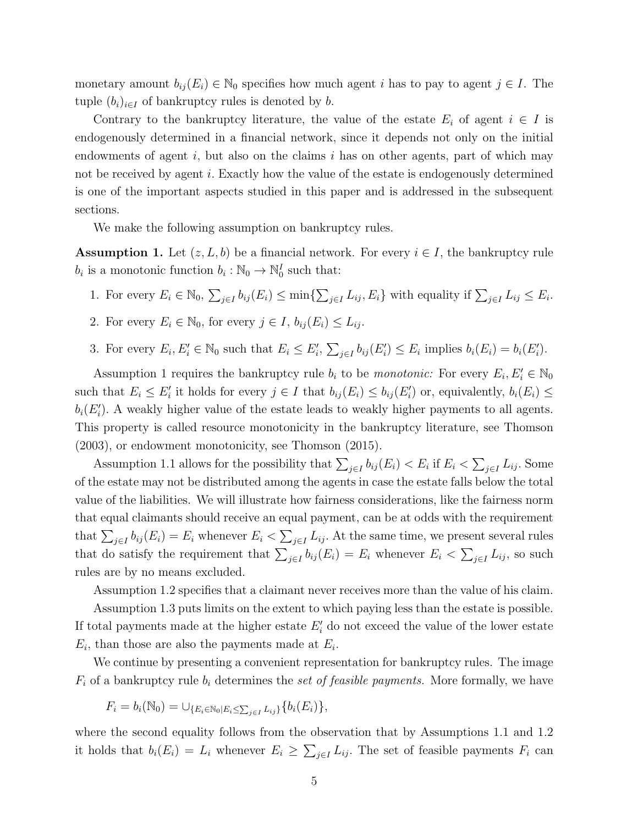monetary amount  $b_{ij}(E_i) \in \mathbb{N}_0$  specifies how much agent i has to pay to agent  $j \in I$ . The tuple  $(b_i)_{i\in I}$  of bankruptcy rules is denoted by b.

Contrary to the bankruptcy literature, the value of the estate  $E_i$  of agent  $i \in I$  is endogenously determined in a financial network, since it depends not only on the initial endowments of agent i, but also on the claims i has on other agents, part of which may not be received by agent i. Exactly how the value of the estate is endogenously determined is one of the important aspects studied in this paper and is addressed in the subsequent sections.

We make the following assumption on bankruptcy rules.

**Assumption 1.** Let  $(z, L, b)$  be a financial network. For every  $i \in I$ , the bankruptcy rule  $b_i$  is a monotonic function  $b_i : \mathbb{N}_0 \to \mathbb{N}_0^I$  such that:

- 1. For every  $E_i \in \mathbb{N}_0$ ,  $\sum_{j \in I} b_{ij}(E_i) \le \min\{\sum_{j \in I} L_{ij}, E_i\}$  with equality if  $\sum_{j \in I} L_{ij} \le E_i$ .
- 2. For every  $E_i \in \mathbb{N}_0$ , for every  $j \in I$ ,  $b_{ij}(E_i) \leq L_{ij}$ .
- 3. For every  $E_i, E'_i \in \mathbb{N}_0$  such that  $E_i \leq E'_i$ ,  $\sum_{j \in I} b_{ij}(E'_i) \leq E_i$  implies  $b_i(E_i) = b_i(E'_i)$ .

Assumption 1 requires the bankruptcy rule  $b_i$  to be monotonic: For every  $E_i, E'_i \in \mathbb{N}_0$ such that  $E_i \leq E'_i$  it holds for every  $j \in I$  that  $b_{ij}(E_i) \leq b_{ij}(E'_i)$  or, equivalently,  $b_i(E_i) \leq$  $b_i(E'_i)$ . A weakly higher value of the estate leads to weakly higher payments to all agents. This property is called resource monotonicity in the bankruptcy literature, see Thomson (2003), or endowment monotonicity, see Thomson (2015).

Assumption 1.1 allows for the possibility that  $\sum_{j\in I} b_{ij}(E_i) < E_i$  if  $E_i < \sum_{j\in I} L_{ij}$ . Some of the estate may not be distributed among the agents in case the estate falls below the total value of the liabilities. We will illustrate how fairness considerations, like the fairness norm that equal claimants should receive an equal payment, can be at odds with the requirement that  $\sum_{j\in I} b_{ij}(E_i) = E_i$  whenever  $E_i < \sum_{j\in I} L_{ij}$ . At the same time, we present several rules that do satisfy the requirement that  $\sum_{j\in I} b_{ij}(E_i) = E_i$  whenever  $E_i < \sum_{j\in I} L_{ij}$ , so such rules are by no means excluded.

Assumption 1.2 specifies that a claimant never receives more than the value of his claim.

Assumption 1.3 puts limits on the extent to which paying less than the estate is possible. If total payments made at the higher estate  $E'_{i}$  do not exceed the value of the lower estate  $E_i$ , than those are also the payments made at  $E_i$ .

We continue by presenting a convenient representation for bankruptcy rules. The image  $F_i$  of a bankruptcy rule  $b_i$  determines the set of feasible payments. More formally, we have

$$
F_i = b_i(\mathbb{N}_0) = \bigcup_{\{E_i \in \mathbb{N}_0 | E_i \le \sum_{j \in I} L_{ij}\}} \{b_i(E_i)\},
$$

where the second equality follows from the observation that by Assumptions 1.1 and 1.2 it holds that  $b_i(E_i) = L_i$  whenever  $E_i \geq \sum_{j \in I} L_{ij}$ . The set of feasible payments  $F_i$  can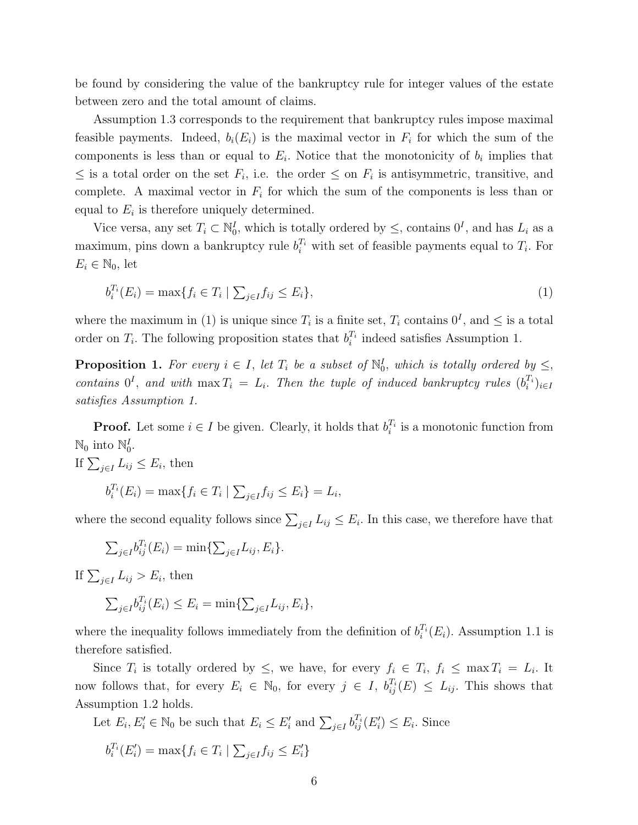be found by considering the value of the bankruptcy rule for integer values of the estate between zero and the total amount of claims.

Assumption 1.3 corresponds to the requirement that bankruptcy rules impose maximal feasible payments. Indeed,  $b_i(E_i)$  is the maximal vector in  $F_i$  for which the sum of the components is less than or equal to  $E_i$ . Notice that the monotonicity of  $b_i$  implies that  $\leq$  is a total order on the set  $F_i$ , i.e. the order  $\leq$  on  $F_i$  is antisymmetric, transitive, and complete. A maximal vector in  $F_i$  for which the sum of the components is less than or equal to  $E_i$  is therefore uniquely determined.

Vice versa, any set  $T_i \subset \mathbb{N}_0^I$ , which is totally ordered by  $\leq$ , contains  $0^I$ , and has  $L_i$  as a maximum, pins down a bankruptcy rule  $b_i^{T_i}$  with set of feasible payments equal to  $T_i$ . For  $E_i \in \mathbb{N}_0$ , let

$$
b_i^{T_i}(E_i) = \max\{f_i \in T_i \mid \sum_{j \in I} f_{ij} \le E_i\},\tag{1}
$$

where the maximum in (1) is unique since  $T_i$  is a finite set,  $T_i$  contains  $0^I$ , and  $\leq$  is a total order on  $T_i$ . The following proposition states that  $b_i^{T_i}$  indeed satisfies Assumption 1.

**Proposition 1.** For every  $i \in I$ , let  $T_i$  be a subset of  $\mathbb{N}_0^I$ , which is totally ordered by  $\leq$ , contains  $0^I$ , and with  $\max T_i = L_i$ . Then the tuple of induced bankruptcy rules  $(b_i^{T_i})_{i \in I}$ satisfies Assumption 1.

**Proof.** Let some  $i \in I$  be given. Clearly, it holds that  $b_i^{T_i}$  is a monotonic function from  $\mathbb{N}_0$  into  $\mathbb{N}_0^I$ .

If 
$$
\sum_{j \in I} L_{ij} \le E_i
$$
, then

$$
b_i^{T_i}(E_i) = \max\{f_i \in T_i \mid \sum_{j \in I} f_{ij} \le E_i\} = L_i,
$$

where the second equality follows since  $\sum_{j\in I} L_{ij} \leq E_i$ . In this case, we therefore have that

$$
\sum_{j\in I} b_{ij}^{T_i}(E_i) = \min\{\sum_{j\in I} L_{ij}, E_i\}.
$$

If  $\sum_{j\in I} L_{ij} > E_i$ , then

$$
\sum_{j\in I} b_{ij}^{T_i}(E_i) \le E_i = \min\{\sum_{j\in I} L_{ij}, E_i\},\
$$

where the inequality follows immediately from the definition of  $b_i^{T_i}(E_i)$ . Assumption 1.1 is therefore satisfied.

Since  $T_i$  is totally ordered by  $\leq$ , we have, for every  $f_i \in T_i$ ,  $f_i \leq \max T_i = L_i$ . It now follows that, for every  $E_i \in \mathbb{N}_0$ , for every  $j \in I$ ,  $b_{ij}^{T_i}(E) \leq L_{ij}$ . This shows that Assumption 1.2 holds.

Let  $E_i, E'_i \in \mathbb{N}_0$  be such that  $E_i \leq E'_i$  and  $\sum_{j \in I} b_{ij}^{T_i}(E'_i) \leq E_i$ . Since

$$
b_i^{T_i}(E_i') = \max\{f_i \in T_i \mid \sum_{j \in I} f_{ij} \le E_i'\}
$$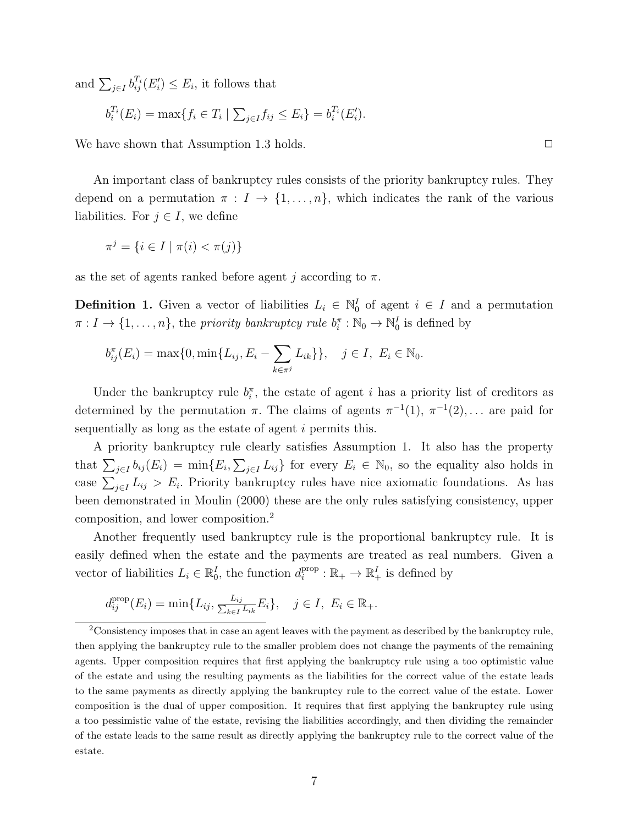and  $\sum_{j\in I} b_{ij}^{T_i}(E'_i) \leq E_i$ , it follows that

$$
b_i^{T_i}(E_i) = \max\{f_i \in T_i \mid \sum_{j \in I} f_{ij} \le E_i\} = b_i^{T_i}(E'_i).
$$

We have shown that Assumption 1.3 holds.

An important class of bankruptcy rules consists of the priority bankruptcy rules. They depend on a permutation  $\pi : I \to \{1, \ldots, n\}$ , which indicates the rank of the various liabilities. For  $j \in I$ , we define

$$
\pi^j = \{ i \in I \mid \pi(i) < \pi(j) \}
$$

as the set of agents ranked before agent j according to  $\pi$ .

**Definition 1.** Given a vector of liabilities  $L_i \in \mathbb{N}_0^I$  of agent  $i \in I$  and a permutation  $\pi: I \to \{1, \ldots, n\}$ , the priority bankruptcy rule  $b_i^{\pi}: \mathbb{N}_0 \to \mathbb{N}_0^I$  is defined by

$$
b_{ij}^{\pi}(E_i) = \max\{0, \min\{L_{ij}, E_i - \sum_{k \in \pi^j} L_{ik}\}\}, \quad j \in I, \ E_i \in \mathbb{N}_0.
$$

Under the bankruptcy rule  $b_i^{\pi}$ , the estate of agent i has a priority list of creditors as determined by the permutation  $\pi$ . The claims of agents  $\pi^{-1}(1)$ ,  $\pi^{-1}(2)$ ,... are paid for sequentially as long as the estate of agent i permits this.

A priority bankruptcy rule clearly satisfies Assumption 1. It also has the property that  $\sum_{j\in I} b_{ij}(E_i) = \min\{E_i, \sum_{j\in I} L_{ij}\}\$  for every  $E_i \in \mathbb{N}_0$ , so the equality also holds in case  $\sum_{j\in I} L_{ij} > E_i$ . Priority bankruptcy rules have nice axiomatic foundations. As has been demonstrated in Moulin (2000) these are the only rules satisfying consistency, upper composition, and lower composition.<sup>2</sup>

Another frequently used bankruptcy rule is the proportional bankruptcy rule. It is easily defined when the estate and the payments are treated as real numbers. Given a vector of liabilities  $L_i \in \mathbb{R}_0^I$ , the function  $d_i^{\text{prop}}$  $i^{\text{prop}} : \mathbb{R}_+ \to \mathbb{R}_+^I$  is defined by

$$
d_{ij}^{\text{prop}}(E_i) = \min\{L_{ij}, \frac{L_{ij}}{\sum_{k \in I} L_{ik}} E_i\}, \quad j \in I, \ E_i \in \mathbb{R}_+.
$$

<sup>2</sup>Consistency imposes that in case an agent leaves with the payment as described by the bankruptcy rule, then applying the bankruptcy rule to the smaller problem does not change the payments of the remaining agents. Upper composition requires that first applying the bankruptcy rule using a too optimistic value of the estate and using the resulting payments as the liabilities for the correct value of the estate leads to the same payments as directly applying the bankruptcy rule to the correct value of the estate. Lower composition is the dual of upper composition. It requires that first applying the bankruptcy rule using a too pessimistic value of the estate, revising the liabilities accordingly, and then dividing the remainder of the estate leads to the same result as directly applying the bankruptcy rule to the correct value of the estate.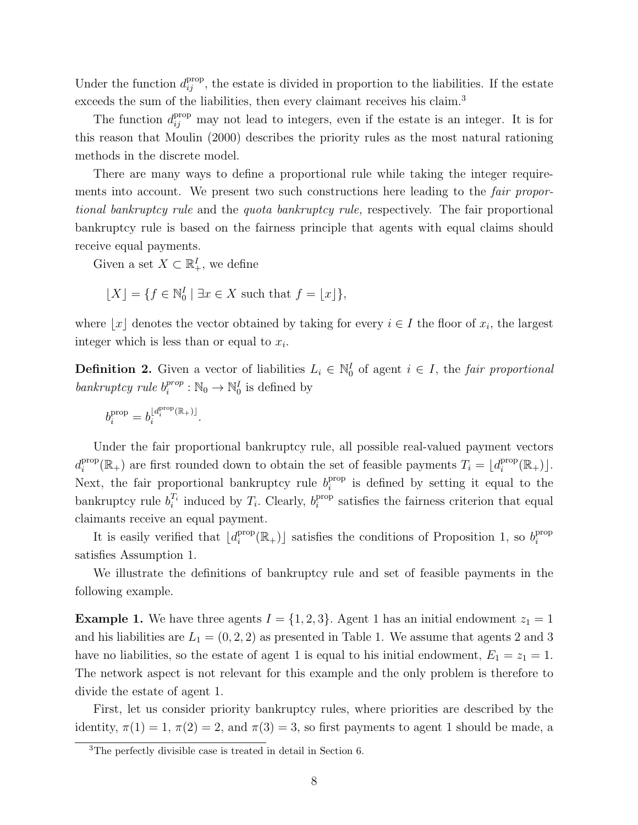Under the function  $d_{ij}^{\text{prop}}$ , the estate is divided in proportion to the liabilities. If the estate exceeds the sum of the liabilities, then every claimant receives his claim.<sup>3</sup>

The function  $d_{ij}^{\text{prop}}$  may not lead to integers, even if the estate is an integer. It is for this reason that Moulin (2000) describes the priority rules as the most natural rationing methods in the discrete model.

There are many ways to define a proportional rule while taking the integer requirements into account. We present two such constructions here leading to the *fair propor*tional bankruptcy rule and the quota bankruptcy rule, respectively. The fair proportional bankruptcy rule is based on the fairness principle that agents with equal claims should receive equal payments.

Given a set  $X \subset \mathbb{R}^I_+$ , we define

$$
\lfloor X\rfloor = \{f \in \mathbb{N}_0^I \mid \exists x \in X \text{ such that } f = \lfloor x \rfloor\},\
$$

where  $\lfloor x \rfloor$  denotes the vector obtained by taking for every  $i \in I$  the floor of  $x_i$ , the largest integer which is less than or equal to  $x_i$ .

**Definition 2.** Given a vector of liabilities  $L_i \in \mathbb{N}_0^I$  of agent  $i \in I$ , the *fair proportional*  $bankruptcy$  rule  $b_i^{prop}$  $i^{prop}: \mathbb{N}_0 \to \mathbb{N}_0^I$  is defined by

$$
b_i^{\rm prop} = b_i^{\lfloor d_i^{\rm prop}(\mathbb{R}_+) \rfloor}.
$$

Under the fair proportional bankruptcy rule, all possible real-valued payment vectors  $d_i^{\text{prop}}$  $i^{\text{prop}}(\mathbb{R}_+)$  are first rounded down to obtain the set of feasible payments  $T_i = \lfloor d_i^{\text{prop}} \rfloor$  $i^{\text{prop}}(\mathbb{R}_+)$ . Next, the fair proportional bankruptcy rule  $b_i^{\text{prop}}$  $i_i^{\text{prop}}$  is defined by setting it equal to the bankruptcy rule  $b_i^{T_i}$  induced by  $T_i$ . Clearly,  $b_i^{\text{prop}}$  $i<sub>i</sub>$ <sup>prop</sup> satisfies the fairness criterion that equal claimants receive an equal payment.

It is easily verified that  $\lfloor d_i^{\text{prop}} \rfloor$  $\binom{prop}{i}(\mathbb{R}_{+})$  satisfies the conditions of Proposition 1, so  $b_i^{prop}$ i satisfies Assumption 1.

We illustrate the definitions of bankruptcy rule and set of feasible payments in the following example.

**Example 1.** We have three agents  $I = \{1, 2, 3\}$ . Agent 1 has an initial endowment  $z_1 = 1$ and his liabilities are  $L_1 = (0, 2, 2)$  as presented in Table 1. We assume that agents 2 and 3 have no liabilities, so the estate of agent 1 is equal to his initial endowment,  $E_1 = z_1 = 1$ . The network aspect is not relevant for this example and the only problem is therefore to divide the estate of agent 1.

First, let us consider priority bankruptcy rules, where priorities are described by the identity,  $\pi(1) = 1$ ,  $\pi(2) = 2$ , and  $\pi(3) = 3$ , so first payments to agent 1 should be made, a

<sup>3</sup>The perfectly divisible case is treated in detail in Section 6.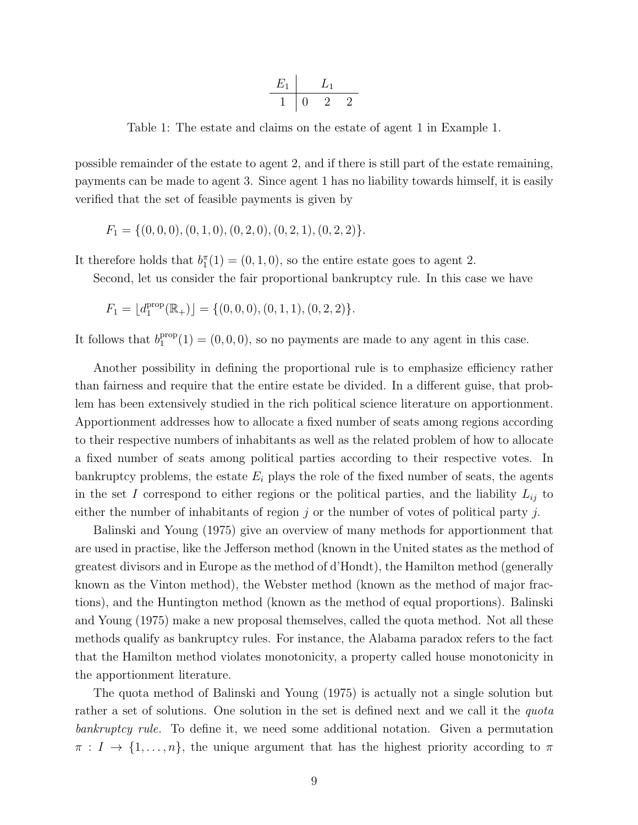$$
\begin{array}{c|cc}\nE_1 & L_1 \\
\hline\n1 & 0 & 2 & 2\n\end{array}
$$

Table 1: The estate and claims on the estate of agent 1 in Example 1.

possible remainder of the estate to agent 2, and if there is still part of the estate remaining, payments can be made to agent 3. Since agent 1 has no liability towards himself, it is easily verified that the set of feasible payments is given by

$$
F_1 = \{(0,0,0), (0,1,0), (0,2,0), (0,2,1), (0,2,2)\}.
$$

It therefore holds that  $b_1^{\pi}(1) = (0, 1, 0)$ , so the entire estate goes to agent 2.

Second, let us consider the fair proportional bankruptcy rule. In this case we have

$$
F_1 = \lfloor d_1^{\text{prop}}(\mathbb{R}_+) \rfloor = \{ (0,0,0), (0,1,1), (0,2,2) \}.
$$

It follows that  $b_1^{\text{prop}}$  $I_1^{\text{prop}}(1) = (0, 0, 0)$ , so no payments are made to any agent in this case.

Another possibility in defining the proportional rule is to emphasize efficiency rather than fairness and require that the entire estate be divided. In a different guise, that problem has been extensively studied in the rich political science literature on apportionment. Apportionment addresses how to allocate a fixed number of seats among regions according to their respective numbers of inhabitants as well as the related problem of how to allocate a fixed number of seats among political parties according to their respective votes. In bankruptcy problems, the estate  $E_i$  plays the role of the fixed number of seats, the agents in the set I correspond to either regions or the political parties, and the liability  $L_{ij}$  to either the number of inhabitants of region  $j$  or the number of votes of political party  $j$ .

Balinski and Young (1975) give an overview of many methods for apportionment that are used in practise, like the Jefferson method (known in the United states as the method of greatest divisors and in Europe as the method of d'Hondt), the Hamilton method (generally known as the Vinton method), the Webster method (known as the method of major fractions), and the Huntington method (known as the method of equal proportions). Balinski and Young (1975) make a new proposal themselves, called the quota method. Not all these methods qualify as bankruptcy rules. For instance, the Alabama paradox refers to the fact that the Hamilton method violates monotonicity, a property called house monotonicity in the apportionment literature.

The quota method of Balinski and Young (1975) is actually not a single solution but rather a set of solutions. One solution in the set is defined next and we call it the *quota* bankruptcy rule. To define it, we need some additional notation. Given a permutation  $\pi : I \to \{1, \ldots, n\}$ , the unique argument that has the highest priority according to  $\pi$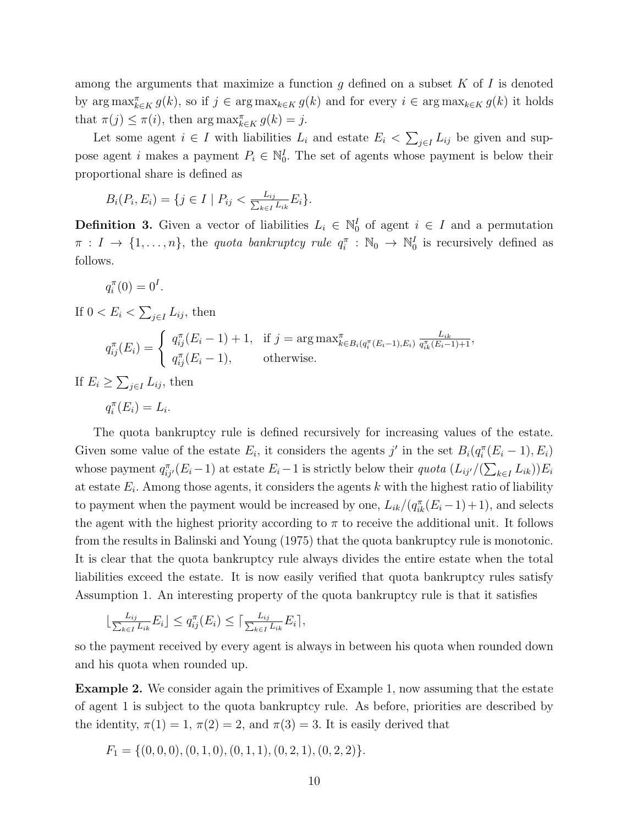among the arguments that maximize a function g defined on a subset  $K$  of  $I$  is denoted by  $\arg \max_{k \in K} g(k)$ , so if  $j \in \arg \max_{k \in K} g(k)$  and for every  $i \in \arg \max_{k \in K} g(k)$  it holds that  $\pi(j) \leq \pi(i)$ , then  $\arg \max_{k \in K} g(k) = j$ .

Let some agent  $i \in I$  with liabilities  $L_i$  and estate  $E_i < \sum_{j \in I} L_{ij}$  be given and suppose agent i makes a payment  $P_i \in \mathbb{N}_0^I$ . The set of agents whose payment is below their proportional share is defined as

$$
B_i(P_i, E_i) = \{ j \in I \mid P_{ij} < \frac{L_{ij}}{\sum_{k \in I} L_{ik}} E_i \}.
$$

**Definition 3.** Given a vector of liabilities  $L_i \in \mathbb{N}_0^I$  of agent  $i \in I$  and a permutation  $\pi: I \to \{1,\ldots,n\}$ , the *quota bankruptcy rule*  $q_i^{\pi}: \mathbb{N}_0 \to \mathbb{N}_0^I$  is recursively defined as follows.

$$
q_i^{\pi}(0) = 0^I.
$$

If  $0 < E_i < \sum_{j \in I} L_{ij}$ , then

 $q_{ij}^{\pi}(E_i) = \begin{cases} q_{ij}^{\pi}(E_i-1) + 1, & \text{if } j = \arg\max_{k \in B_i(q_i^{\pi}(E_i-1),E_i)}^{\pi} \ \end{cases}$  $L_{ik}$  $\frac{L_{ik}}{q_{ik}^{\pi}(E_i-1)+1},$  $q_{ij}^{\pi}(E_i-1),$  otherwise.

If  $E_i \geq \sum_{j \in I} L_{ij}$ , then

 $q_i^{\pi}(E_i) = L_i.$ 

The quota bankruptcy rule is defined recursively for increasing values of the estate. Given some value of the estate  $E_i$ , it considers the agents j' in the set  $B_i(q_i^{\pi}(E_i-1), E_i)$ whose payment  $q_{ij}^{\pi}(E_i-1)$  at estate  $E_i-1$  is strictly below their quota  $(L_{ij'}/(\sum_{k\in I} L_{ik}))E_i$ at estate  $E_i$ . Among those agents, it considers the agents k with the highest ratio of liability to payment when the payment would be increased by one,  $L_{ik}/(q_{ik}^{\pi}(E_i-1)+1)$ , and selects the agent with the highest priority according to  $\pi$  to receive the additional unit. It follows from the results in Balinski and Young (1975) that the quota bankruptcy rule is monotonic. It is clear that the quota bankruptcy rule always divides the entire estate when the total liabilities exceed the estate. It is now easily verified that quota bankruptcy rules satisfy Assumption 1. An interesting property of the quota bankruptcy rule is that it satisfies

$$
\lfloor \frac{L_{ij}}{\sum_{k \in I} L_{ik}} E_i \rfloor \le q_{ij}^{\pi}(E_i) \le \lceil \frac{L_{ij}}{\sum_{k \in I} L_{ik}} E_i \rceil,
$$

so the payment received by every agent is always in between his quota when rounded down and his quota when rounded up.

Example 2. We consider again the primitives of Example 1, now assuming that the estate of agent 1 is subject to the quota bankruptcy rule. As before, priorities are described by the identity,  $\pi(1) = 1$ ,  $\pi(2) = 2$ , and  $\pi(3) = 3$ . It is easily derived that

$$
F_1 = \{(0,0,0), (0,1,0), (0,1,1), (0,2,1), (0,2,2)\}.
$$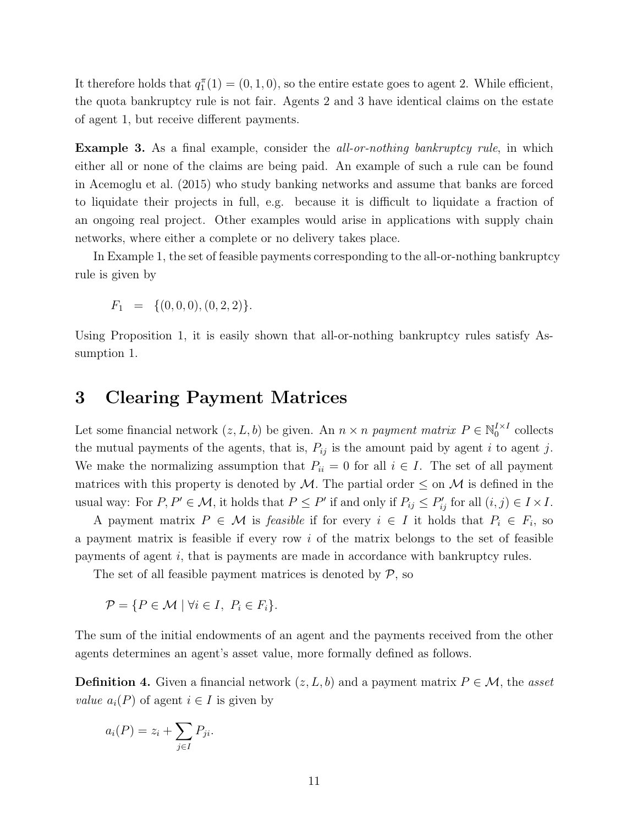It therefore holds that  $q_1^{\pi}(1) = (0, 1, 0)$ , so the entire estate goes to agent 2. While efficient, the quota bankruptcy rule is not fair. Agents 2 and 3 have identical claims on the estate of agent 1, but receive different payments.

Example 3. As a final example, consider the *all-or-nothing bankruptcy rule*, in which either all or none of the claims are being paid. An example of such a rule can be found in Acemoglu et al. (2015) who study banking networks and assume that banks are forced to liquidate their projects in full, e.g. because it is difficult to liquidate a fraction of an ongoing real project. Other examples would arise in applications with supply chain networks, where either a complete or no delivery takes place.

In Example 1, the set of feasible payments corresponding to the all-or-nothing bankruptcy rule is given by

$$
F_1 = \{(0,0,0), (0,2,2)\}.
$$

Using Proposition 1, it is easily shown that all-or-nothing bankruptcy rules satisfy Assumption 1.

### 3 Clearing Payment Matrices

Let some financial network  $(z, L, b)$  be given. An  $n \times n$  payment matrix  $P \in \mathbb{N}_0^{I \times I}$  collects the mutual payments of the agents, that is,  $P_{ij}$  is the amount paid by agent i to agent j. We make the normalizing assumption that  $P_{ii} = 0$  for all  $i \in I$ . The set of all payment matrices with this property is denoted by M. The partial order  $\leq$  on M is defined in the usual way: For  $P, P' \in \mathcal{M}$ , it holds that  $P \le P'$  if and only if  $P_{ij} \le P'_{ij}$  for all  $(i, j) \in I \times I$ .

A payment matrix  $P \in \mathcal{M}$  is *feasible* if for every  $i \in I$  it holds that  $P_i \in F_i$ , so a payment matrix is feasible if every row  $i$  of the matrix belongs to the set of feasible payments of agent i, that is payments are made in accordance with bankruptcy rules.

The set of all feasible payment matrices is denoted by  $P$ , so

$$
\mathcal{P} = \{ P \in \mathcal{M} \mid \forall i \in I, \ P_i \in F_i \}.
$$

The sum of the initial endowments of an agent and the payments received from the other agents determines an agent's asset value, more formally defined as follows.

**Definition 4.** Given a financial network  $(z, L, b)$  and a payment matrix  $P \in \mathcal{M}$ , the asset *value*  $a_i(P)$  of agent  $i \in I$  is given by

$$
a_i(P) = z_i + \sum_{j \in I} P_{ji}.
$$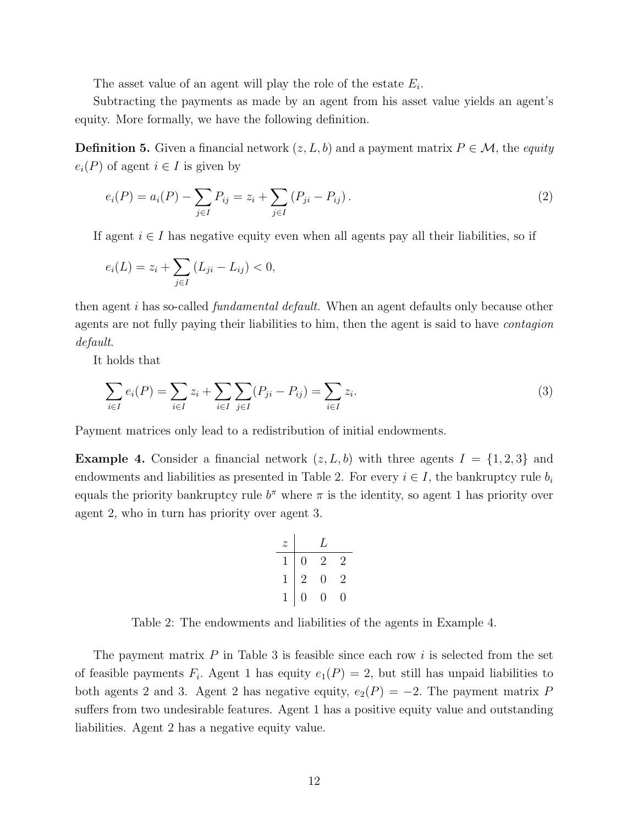The asset value of an agent will play the role of the estate  $E_i$ .

Subtracting the payments as made by an agent from his asset value yields an agent's equity. More formally, we have the following definition.

**Definition 5.** Given a financial network  $(z, L, b)$  and a payment matrix  $P \in \mathcal{M}$ , the equity  $e_i(P)$  of agent  $i \in I$  is given by

$$
e_i(P) = a_i(P) - \sum_{j \in I} P_{ij} = z_i + \sum_{j \in I} (P_{ji} - P_{ij}).
$$
\n(2)

If agent  $i \in I$  has negative equity even when all agents pay all their liabilities, so if

$$
e_i(L) = z_i + \sum_{j \in I} (L_{ji} - L_{ij}) < 0,
$$

then agent i has so-called *fundamental default*. When an agent defaults only because other agents are not fully paying their liabilities to him, then the agent is said to have contagion default.

It holds that

$$
\sum_{i \in I} e_i(P) = \sum_{i \in I} z_i + \sum_{i \in I} \sum_{j \in I} (P_{ji} - P_{ij}) = \sum_{i \in I} z_i.
$$
\n(3)

Payment matrices only lead to a redistribution of initial endowments.

**Example 4.** Consider a financial network  $(z, L, b)$  with three agents  $I = \{1, 2, 3\}$  and endowments and liabilities as presented in Table 2. For every  $i \in I$ , the bankruptcy rule  $b_i$ equals the priority bankruptcy rule  $b^{\pi}$  where  $\pi$  is the identity, so agent 1 has priority over agent 2, who in turn has priority over agent 3.

$$
\begin{array}{c|cc}\n z & L \\
1 & 0 & 2 & 2 \\
1 & 2 & 0 & 2 \\
1 & 0 & 0 & 0\n\end{array}
$$

Table 2: The endowments and liabilities of the agents in Example 4.

The payment matrix  $P$  in Table 3 is feasible since each row i is selected from the set of feasible payments  $F_i$ . Agent 1 has equity  $e_1(P) = 2$ , but still has unpaid liabilities to both agents 2 and 3. Agent 2 has negative equity,  $e_2(P) = -2$ . The payment matrix P suffers from two undesirable features. Agent 1 has a positive equity value and outstanding liabilities. Agent 2 has a negative equity value.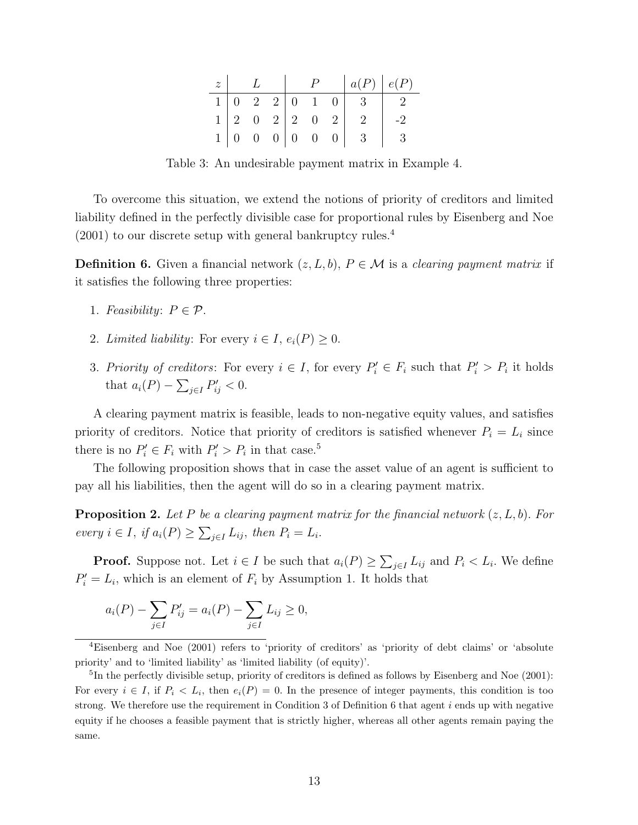| $z \mid$ |  |  |                                                                                     | $\mid a(P) \mid e(P)$                                                                   |  |  |
|----------|--|--|-------------------------------------------------------------------------------------|-----------------------------------------------------------------------------------------|--|--|
|          |  |  |                                                                                     | $1 \begin{array}{ c c c c c c c c } \hline 1 & 0 & 2 & 2 \end{array}$   0   1   0     3 |  |  |
|          |  |  | $1 \begin{bmatrix} 2 & 0 & 2 \end{bmatrix}$ $2 \begin{bmatrix} 0 & 2 \end{bmatrix}$ | 2                                                                                       |  |  |
|          |  |  | $1 \begin{bmatrix} 0 & 0 & 0 \end{bmatrix} \begin{bmatrix} 0 & 0 & 0 \end{bmatrix}$ | -3                                                                                      |  |  |

Table 3: An undesirable payment matrix in Example 4.

To overcome this situation, we extend the notions of priority of creditors and limited liability defined in the perfectly divisible case for proportional rules by Eisenberg and Noe  $(2001)$  to our discrete setup with general bankruptcy rules.<sup>4</sup>

**Definition 6.** Given a financial network  $(z, L, b)$ ,  $P \in \mathcal{M}$  is a *clearing payment matrix* if it satisfies the following three properties:

- 1. Feasibility:  $P \in \mathcal{P}$ .
- 2. Limited liability: For every  $i \in I$ ,  $e_i(P) \geq 0$ .
- 3. Priority of creditors: For every  $i \in I$ , for every  $P'_i \in F_i$  such that  $P'_i > P_i$  it holds that  $a_i(P) - \sum_{j \in I} P'_{ij} < 0$ .

A clearing payment matrix is feasible, leads to non-negative equity values, and satisfies priority of creditors. Notice that priority of creditors is satisfied whenever  $P_i = L_i$  since there is no  $P'_i \in F_i$  with  $P'_i > P_i$  in that case.<sup>5</sup>

The following proposition shows that in case the asset value of an agent is sufficient to pay all his liabilities, then the agent will do so in a clearing payment matrix.

**Proposition 2.** Let P be a clearing payment matrix for the financial network  $(z, L, b)$ . For every  $i \in I$ , if  $a_i(P) \ge \sum_{j \in I} L_{ij}$ , then  $P_i = L_i$ .

**Proof.** Suppose not. Let  $i \in I$  be such that  $a_i(P) \geq \sum_{j \in I} L_{ij}$  and  $P_i < L_i$ . We define  $P'_{i} = L_{i}$ , which is an element of  $F_{i}$  by Assumption 1. It holds that

$$
a_i(P) - \sum_{j \in I} P'_{ij} = a_i(P) - \sum_{j \in I} L_{ij} \ge 0,
$$

<sup>4</sup>Eisenberg and Noe (2001) refers to 'priority of creditors' as 'priority of debt claims' or 'absolute priority' and to 'limited liability' as 'limited liability (of equity)'.

<sup>&</sup>lt;sup>5</sup>In the perfectly divisible setup, priority of creditors is defined as follows by Eisenberg and Noe (2001): For every  $i \in I$ , if  $P_i < L_i$ , then  $e_i(P) = 0$ . In the presence of integer payments, this condition is too strong. We therefore use the requirement in Condition 3 of Definition 6 that agent  $i$  ends up with negative equity if he chooses a feasible payment that is strictly higher, whereas all other agents remain paying the same.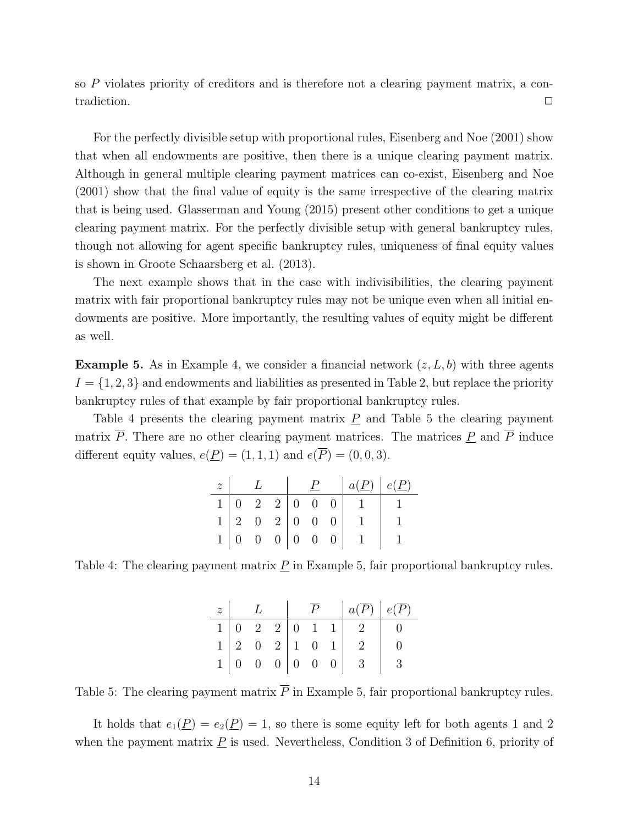so P violates priority of creditors and is therefore not a clearing payment matrix, a contradiction.

For the perfectly divisible setup with proportional rules, Eisenberg and Noe (2001) show that when all endowments are positive, then there is a unique clearing payment matrix. Although in general multiple clearing payment matrices can co-exist, Eisenberg and Noe (2001) show that the final value of equity is the same irrespective of the clearing matrix that is being used. Glasserman and Young (2015) present other conditions to get a unique clearing payment matrix. For the perfectly divisible setup with general bankruptcy rules, though not allowing for agent specific bankruptcy rules, uniqueness of final equity values is shown in Groote Schaarsberg et al. (2013).

The next example shows that in the case with indivisibilities, the clearing payment matrix with fair proportional bankruptcy rules may not be unique even when all initial endowments are positive. More importantly, the resulting values of equity might be different as well.

**Example 5.** As in Example 4, we consider a financial network  $(z, L, b)$  with three agents  $I = \{1, 2, 3\}$  and endowments and liabilities as presented in Table 2, but replace the priority bankruptcy rules of that example by fair proportional bankruptcy rules.

Table 4 presents the clearing payment matrix  $\underline{P}$  and Table 5 the clearing payment matrix  $\overline{P}$ . There are no other clearing payment matrices. The matrices  $\underline{P}$  and  $\overline{P}$  induce different equity values,  $e(\underline{P}) = (1, 1, 1)$  and  $e(\overline{P}) = (0, 0, 3)$ .

| $z \perp$ |                                                                                       |  |  | $\underline{P}$ $a(\underline{P})$ $e(\underline{P})$ |  |
|-----------|---------------------------------------------------------------------------------------|--|--|-------------------------------------------------------|--|
|           |                                                                                       |  |  | 1   0 2 2   0 0 0   1                                 |  |
|           | $1 \begin{bmatrix} 2 & 0 & 2 \end{bmatrix}$ 0 0 0                                     |  |  |                                                       |  |
|           | $1 \begin{bmatrix} 0 & 0 & 0 \end{bmatrix} 0 \begin{bmatrix} 0 & 0 & 0 \end{bmatrix}$ |  |  |                                                       |  |

Table 4: The clearing payment matrix  $P$  in Example 5, fair proportional bankruptcy rules.

|  |  |  | $z \begin{vmatrix} L \end{vmatrix} \overline{P} \begin{vmatrix} a(\overline{P}) \end{vmatrix} e(\overline{P})$                                |  |  |
|--|--|--|-----------------------------------------------------------------------------------------------------------------------------------------------|--|--|
|  |  |  |                                                                                                                                               |  |  |
|  |  |  |                                                                                                                                               |  |  |
|  |  |  | $\begin{array}{c cccc c} 1 & 0 & 2 & 2 & 0 & 1 & 1 & 2 & 0 \\ 1 & 2 & 0 & 2 & 1 & 0 & 1 & 2 & 0 \\ 1 & 0 & 0 & 0 & 0 & 0 & 3 & 3 \end{array}$ |  |  |

Table 5: The clearing payment matrix  $\overline{P}$  in Example 5, fair proportional bankruptcy rules.

It holds that  $e_1(\underline{P}) = e_2(\underline{P}) = 1$ , so there is some equity left for both agents 1 and 2 when the payment matrix  $\underline{P}$  is used. Nevertheless, Condition 3 of Definition 6, priority of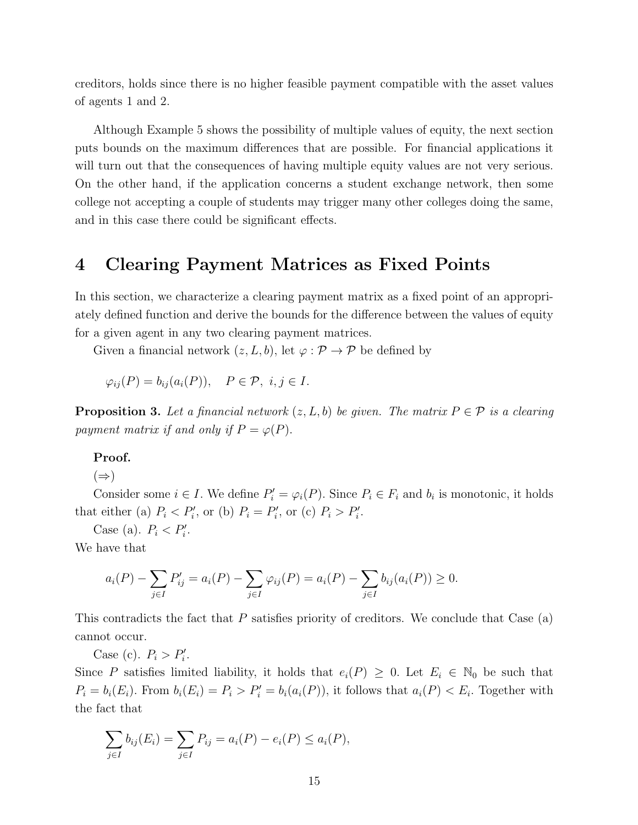creditors, holds since there is no higher feasible payment compatible with the asset values of agents 1 and 2.

Although Example 5 shows the possibility of multiple values of equity, the next section puts bounds on the maximum differences that are possible. For financial applications it will turn out that the consequences of having multiple equity values are not very serious. On the other hand, if the application concerns a student exchange network, then some college not accepting a couple of students may trigger many other colleges doing the same, and in this case there could be significant effects.

## 4 Clearing Payment Matrices as Fixed Points

In this section, we characterize a clearing payment matrix as a fixed point of an appropriately defined function and derive the bounds for the difference between the values of equity for a given agent in any two clearing payment matrices.

Given a financial network  $(z, L, b)$ , let  $\varphi : \mathcal{P} \to \mathcal{P}$  be defined by

$$
\varphi_{ij}(P) = b_{ij}(a_i(P)), \quad P \in \mathcal{P}, \ i, j \in I.
$$

**Proposition 3.** Let a financial network  $(z, L, b)$  be given. The matrix  $P \in \mathcal{P}$  is a clearing payment matrix if and only if  $P = \varphi(P)$ .

#### Proof.

 $(\Rightarrow)$ 

Consider some  $i \in I$ . We define  $P'_i = \varphi_i(P)$ . Since  $P_i \in F_i$  and  $b_i$  is monotonic, it holds that either (a)  $P_i < P'_i$ , or (b)  $P_i = P'_i$ , or (c)  $P_i > P'_i$ .

Case (a).  $P_i < P'_i$ .

We have that

$$
a_i(P) - \sum_{j \in I} P'_{ij} = a_i(P) - \sum_{j \in I} \varphi_{ij}(P) = a_i(P) - \sum_{j \in I} b_{ij}(a_i(P)) \ge 0.
$$

This contradicts the fact that  $P$  satisfies priority of creditors. We conclude that Case (a) cannot occur.

Case (c).  $P_i > P'_i$ .

Since P satisfies limited liability, it holds that  $e_i(P) \geq 0$ . Let  $E_i \in \mathbb{N}_0$  be such that  $P_i = b_i(E_i)$ . From  $b_i(E_i) = P_i > P'_i = b_i(a_i(P))$ , it follows that  $a_i(P) < E_i$ . Together with the fact that

$$
\sum_{j \in I} b_{ij}(E_i) = \sum_{j \in I} P_{ij} = a_i(P) - e_i(P) \le a_i(P),
$$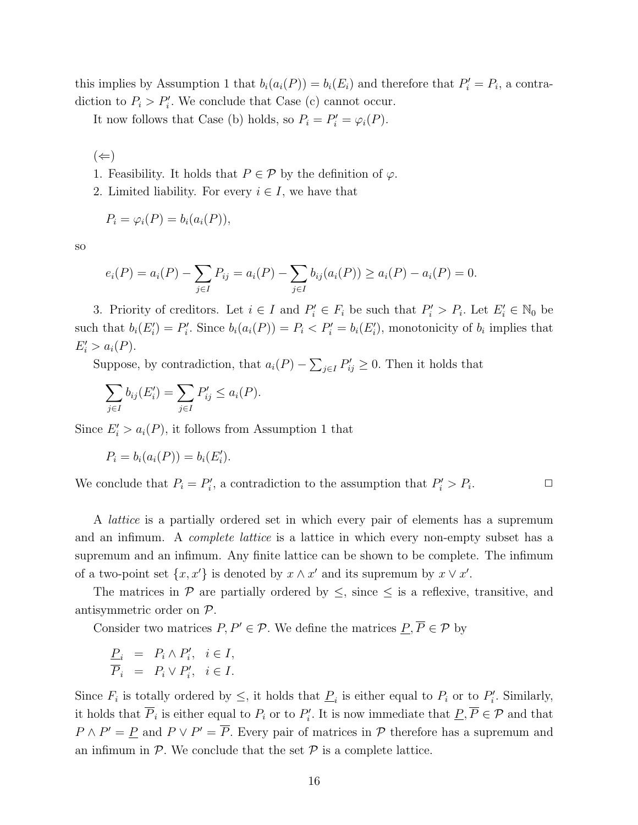this implies by Assumption 1 that  $b_i(a_i(P)) = b_i(E_i)$  and therefore that  $P'_i = P_i$ , a contradiction to  $P_i > P'_i$ . We conclude that Case (c) cannot occur.

It now follows that Case (b) holds, so  $P_i = P'_i = \varphi_i(P)$ .

 $(\Leftarrow)$ 

- 1. Feasibility. It holds that  $P \in \mathcal{P}$  by the definition of  $\varphi$ .
- 2. Limited liability. For every  $i \in I$ , we have that

$$
P_i = \varphi_i(P) = b_i(a_i(P)),
$$

so

$$
e_i(P) = a_i(P) - \sum_{j \in I} P_{ij} = a_i(P) - \sum_{j \in I} b_{ij}(a_i(P)) \ge a_i(P) - a_i(P) = 0.
$$

3. Priority of creditors. Let  $i \in I$  and  $P'_i \in F_i$  be such that  $P'_i > P_i$ . Let  $E'_i \in \mathbb{N}_0$  be such that  $b_i(E'_i) = P'_i$ . Since  $b_i(a_i(P)) = P_i < P'_i = b_i(E'_i)$ , monotonicity of  $b_i$  implies that  $E'_i > a_i(P).$ 

Suppose, by contradiction, that  $a_i(P) - \sum_{j \in I} P'_{ij} \geq 0$ . Then it holds that

$$
\sum_{j\in I} b_{ij}(E'_i) = \sum_{j\in I} P'_{ij} \le a_i(P).
$$

Since  $E'_i > a_i(P)$ , it follows from Assumption 1 that

$$
P_i = b_i(a_i(P)) = b_i(E'_i).
$$

We conclude that  $P_i = P'_i$ , a contradiction to the assumption that  $P'_i > P_i$ .  $\Box$ 

A lattice is a partially ordered set in which every pair of elements has a supremum and an infimum. A complete lattice is a lattice in which every non-empty subset has a supremum and an infimum. Any finite lattice can be shown to be complete. The infimum of a two-point set  $\{x, x'\}$  is denoted by  $x \wedge x'$  and its supremum by  $x \vee x'$ .

The matrices in  $\mathcal P$  are partially ordered by  $\leq$ , since  $\leq$  is a reflexive, transitive, and antisymmetric order on P.

Consider two matrices  $P, P' \in \mathcal{P}$ . We define the matrices  $\underline{P}, \overline{P} \in \mathcal{P}$  by

$$
\frac{P_i}{P_i} = P_i \wedge P'_i, \quad i \in I,
$$
  

$$
\overline{P}_i = P_i \vee P'_i, \quad i \in I.
$$

Since  $F_i$  is totally ordered by  $\leq$ , it holds that  $\underline{P}_i$  is either equal to  $P_i$  or to  $P'_i$ . Similarly, it holds that  $\overline{P}_i$  is either equal to  $P_i$  or to  $P'_i$ . It is now immediate that  $\underline{P}, \overline{P} \in \mathcal{P}$  and that  $P \wedge P' = \underline{P}$  and  $P \vee P' = \overline{P}$ . Every pair of matrices in  $P$  therefore has a supremum and an infimum in  $P$ . We conclude that the set  $P$  is a complete lattice.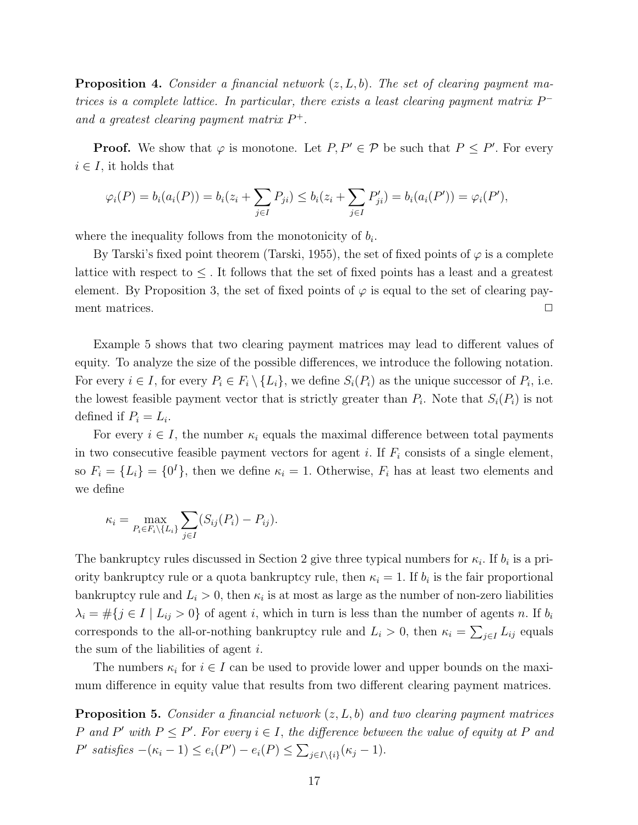**Proposition 4.** Consider a financial network  $(z, L, b)$ . The set of clearing payment matrices is a complete lattice. In particular, there exists a least clearing payment matrix  $P^$ and a greatest clearing payment matrix  $P^+$ .

**Proof.** We show that  $\varphi$  is monotone. Let  $P, P' \in \mathcal{P}$  be such that  $P \leq P'$ . For every  $i \in I$ , it holds that

$$
\varphi_i(P) = b_i(a_i(P)) = b_i(z_i + \sum_{j \in I} P_{ji}) \le b_i(z_i + \sum_{j \in I} P'_{ji}) = b_i(a_i(P')) = \varphi_i(P'),
$$

where the inequality follows from the monotonicity of  $b_i$ .

By Tarski's fixed point theorem (Tarski, 1955), the set of fixed points of  $\varphi$  is a complete lattice with respect to  $\leq$ . It follows that the set of fixed points has a least and a greatest element. By Proposition 3, the set of fixed points of  $\varphi$  is equal to the set of clearing payment matrices.  $\Box$ 

Example 5 shows that two clearing payment matrices may lead to different values of equity. To analyze the size of the possible differences, we introduce the following notation. For every  $i \in I$ , for every  $P_i \in F_i \setminus \{L_i\}$ , we define  $S_i(P_i)$  as the unique successor of  $P_i$ , i.e. the lowest feasible payment vector that is strictly greater than  $P_i$ . Note that  $S_i(P_i)$  is not defined if  $P_i = L_i$ .

For every  $i \in I$ , the number  $\kappa_i$  equals the maximal difference between total payments in two consecutive feasible payment vectors for agent i. If  $F_i$  consists of a single element, so  $F_i = \{L_i\} = \{0^I\}$ , then we define  $\kappa_i = 1$ . Otherwise,  $F_i$  has at least two elements and we define

$$
\kappa_i = \max_{P_i \in F_i \setminus \{L_i\}} \sum_{j \in I} (S_{ij}(P_i) - P_{ij}).
$$

The bankruptcy rules discussed in Section 2 give three typical numbers for  $\kappa_i$ . If  $b_i$  is a priority bankruptcy rule or a quota bankruptcy rule, then  $\kappa_i = 1$ . If  $b_i$  is the fair proportional bankruptcy rule and  $L_i > 0$ , then  $\kappa_i$  is at most as large as the number of non-zero liabilities  $\lambda_i = \#\{j \in I \mid L_{ij} > 0\}$  of agent i, which in turn is less than the number of agents n. If  $b_i$ corresponds to the all-or-nothing bankruptcy rule and  $L_i > 0$ , then  $\kappa_i = \sum_{j \in I} L_{ij}$  equals the sum of the liabilities of agent  $i$ .

The numbers  $\kappa_i$  for  $i \in I$  can be used to provide lower and upper bounds on the maximum difference in equity value that results from two different clearing payment matrices.

**Proposition 5.** Consider a financial network  $(z, L, b)$  and two clearing payment matrices P and P' with  $P \leq P'$ . For every  $i \in I$ , the difference between the value of equity at P and P' satisfies  $-(\kappa_i - 1) \le e_i(P') - e_i(P) \le \sum_{j \in I \setminus \{i\}} (\kappa_j - 1).$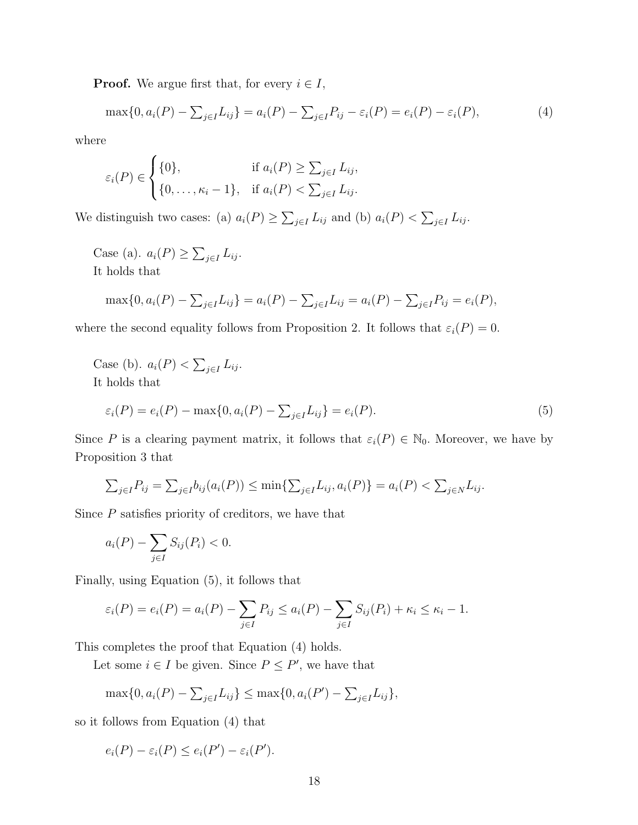**Proof.** We argue first that, for every  $i \in I$ ,

$$
\max\{0, a_i(P) - \sum_{j \in I} L_{ij}\} = a_i(P) - \sum_{j \in I} P_{ij} - \varepsilon_i(P) = e_i(P) - \varepsilon_i(P),
$$
\n(4)

where

$$
\varepsilon_i(P) \in \begin{cases} \{0\}, & \text{if } a_i(P) \geq \sum_{j \in I} L_{ij}, \\ \{0, \ldots, \kappa_i - 1\}, & \text{if } a_i(P) < \sum_{j \in I} L_{ij}. \end{cases}
$$

We distinguish two cases: (a)  $a_i(P) \ge \sum_{j \in I} L_{ij}$  and (b)  $a_i(P) < \sum_{j \in I} L_{ij}$ .

Case (a).  $a_i(P) \geq \sum_{j \in I} L_{ij}$ . It holds that

$$
\max\{0, a_i(P) - \sum_{j \in I} L_{ij}\} = a_i(P) - \sum_{j \in I} L_{ij} = a_i(P) - \sum_{j \in I} P_{ij} = e_i(P),
$$

where the second equality follows from Proposition 2. It follows that  $\varepsilon_i(P) = 0$ .

Case (b).  $a_i(P) < \sum_{j \in I} L_{ij}$ . It holds that

$$
\varepsilon_i(P) = e_i(P) - \max\{0, a_i(P) - \sum_{j \in I} L_{ij}\} = e_i(P).
$$
\n(5)

Since P is a clearing payment matrix, it follows that  $\varepsilon_i(P) \in \mathbb{N}_0$ . Moreover, we have by Proposition 3 that

$$
\sum_{j \in I} P_{ij} = \sum_{j \in I} b_{ij}(a_i(P)) \le \min\{\sum_{j \in I} L_{ij}, a_i(P)\} = a_i(P) < \sum_{j \in N} L_{ij}.
$$

Since  $P$  satisfies priority of creditors, we have that

$$
a_i(P) - \sum_{j \in I} S_{ij}(P_i) < 0.
$$

Finally, using Equation (5), it follows that

$$
\varepsilon_i(P) = e_i(P) = a_i(P) - \sum_{j \in I} P_{ij} \le a_i(P) - \sum_{j \in I} S_{ij}(P_i) + \kappa_i \le \kappa_i - 1.
$$

This completes the proof that Equation (4) holds.

Let some  $i \in I$  be given. Since  $P \leq P'$ , we have that

$$
\max\{0, a_i(P) - \sum_{j \in I} L_{ij}\} \le \max\{0, a_i(P') - \sum_{j \in I} L_{ij}\},\
$$

so it follows from Equation (4) that

$$
e_i(P) - \varepsilon_i(P) \le e_i(P') - \varepsilon_i(P').
$$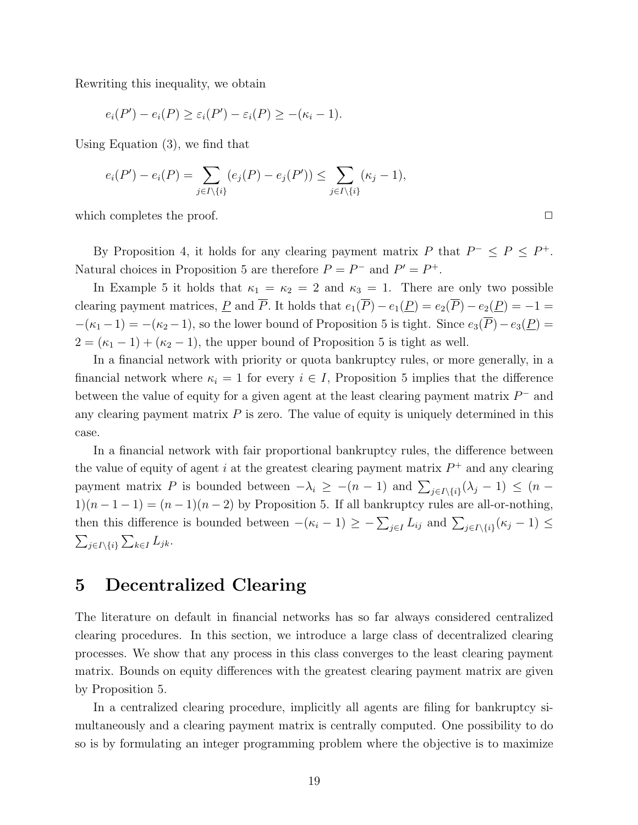Rewriting this inequality, we obtain

$$
e_i(P') - e_i(P) \ge \varepsilon_i(P') - \varepsilon_i(P) \ge -(\kappa_i - 1).
$$

Using Equation (3), we find that

$$
e_i(P') - e_i(P) = \sum_{j \in I \setminus \{i\}} (e_j(P) - e_j(P')) \le \sum_{j \in I \setminus \{i\}} (\kappa_j - 1),
$$

which completes the proof.

By Proposition 4, it holds for any clearing payment matrix P that  $P^- \leq P \leq P^+$ . Natural choices in Proposition 5 are therefore  $P = P^-$  and  $P' = P^+$ .

In Example 5 it holds that  $\kappa_1 = \kappa_2 = 2$  and  $\kappa_3 = 1$ . There are only two possible clearing payment matrices, P and  $\overline{P}$ . It holds that  $e_1(\overline{P}) - e_1(\underline{P}) = e_2(\overline{P}) - e_2(\underline{P}) = -1$  $-(\kappa_1 - 1) = -(\kappa_2 - 1)$ , so the lower bound of Proposition 5 is tight. Since  $e_3(\overline{P}) - e_3(\underline{P}) =$  $2 = (\kappa_1 - 1) + (\kappa_2 - 1)$ , the upper bound of Proposition 5 is tight as well.

In a financial network with priority or quota bankruptcy rules, or more generally, in a financial network where  $\kappa_i = 1$  for every  $i \in I$ , Proposition 5 implies that the difference between the value of equity for a given agent at the least clearing payment matrix  $P^-$  and any clearing payment matrix  $P$  is zero. The value of equity is uniquely determined in this case.

In a financial network with fair proportional bankruptcy rules, the difference between the value of equity of agent i at the greatest clearing payment matrix  $P^+$  and any clearing payment matrix P is bounded between  $-\lambda_i \ge -(n-1)$  and  $\sum_{j\in I\setminus\{i\}} (\lambda_j - 1) \le (n-1)$  $1(n-1-1) = (n-1)(n-2)$  by Proposition 5. If all bankruptcy rules are all-or-nothing, then this difference is bounded between  $-(\kappa_i - 1) \ge -\sum_{j \in I} L_{ij}$  and  $\sum_{j \in I \setminus \{i\}} (\kappa_j - 1) \le$  $\sum_{j\in I\setminus\{i\}}\sum_{k\in I}L_{jk}.$ 

## 5 Decentralized Clearing

The literature on default in financial networks has so far always considered centralized clearing procedures. In this section, we introduce a large class of decentralized clearing processes. We show that any process in this class converges to the least clearing payment matrix. Bounds on equity differences with the greatest clearing payment matrix are given by Proposition 5.

In a centralized clearing procedure, implicitly all agents are filing for bankruptcy simultaneously and a clearing payment matrix is centrally computed. One possibility to do so is by formulating an integer programming problem where the objective is to maximize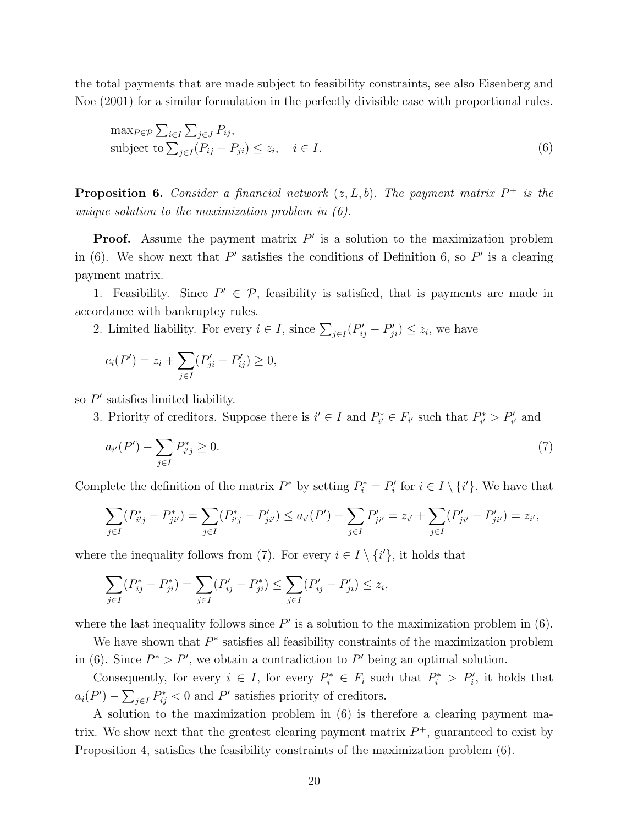the total payments that are made subject to feasibility constraints, see also Eisenberg and Noe (2001) for a similar formulation in the perfectly divisible case with proportional rules.

$$
\max_{P \in \mathcal{P}} \sum_{i \in I} \sum_{j \in J} P_{ij},
$$
\n
$$
\text{subject to } \sum_{j \in I} (P_{ij} - P_{ji}) \le z_i, \quad i \in I.
$$
\n
$$
(6)
$$

**Proposition 6.** Consider a financial network  $(z, L, b)$ . The payment matrix  $P^+$  is the unique solution to the maximization problem in  $(6)$ .

**Proof.** Assume the payment matrix  $P'$  is a solution to the maximization problem in (6). We show next that  $P'$  satisfies the conditions of Definition 6, so  $P'$  is a clearing payment matrix.

1. Feasibility. Since  $P' \in \mathcal{P}$ , feasibility is satisfied, that is payments are made in accordance with bankruptcy rules.

2. Limited liability. For every  $i \in I$ , since  $\sum_{j \in I} (P'_{ij} - P'_{ji}) \leq z_i$ , we have

$$
e_i(P') = z_i + \sum_{j \in I} (P'_{ji} - P'_{ij}) \ge 0,
$$

so  $P'$  satisfies limited liability.

3. Priority of creditors. Suppose there is  $i' \in I$  and  $P_{i'}^* \in F_{i'}$  such that  $P_{i'}^* > P_{i'}'$  and

$$
a_{i'}(P') - \sum_{j \in I} P^*_{i'j} \ge 0. \tag{7}
$$

Complete the definition of the matrix  $P^*$  by setting  $P_i^* = P_i'$  for  $i \in I \setminus \{i'\}$ . We have that

$$
\sum_{j\in I} (P_{i'j}^* - P_{ji'}^*) = \sum_{j\in I} (P_{i'j}^* - P_{ji'}') \le a_{i'}(P') - \sum_{j\in I} P_{ji'}' = z_{i'} + \sum_{j\in I} (P_{ji'}' - P_{ji'}') = z_{i'},
$$

where the inequality follows from (7). For every  $i \in I \setminus \{i'\}$ , it holds that

$$
\sum_{j \in I} (P_{ij}^* - P_{ji}^*) = \sum_{j \in I} (P_{ij}' - P_{ji}^*) \le \sum_{j \in I} (P_{ij}' - P_{ji}') \le z_i,
$$

where the last inequality follows since  $P'$  is a solution to the maximization problem in (6).

We have shown that  $P^*$  satisfies all feasibility constraints of the maximization problem in (6). Since  $P^* > P'$ , we obtain a contradiction to P' being an optimal solution.

Consequently, for every  $i \in I$ , for every  $P_i^* \in F_i$  such that  $P_i^* > P_i'$ , it holds that  $a_i(P') - \sum_{j \in I} P^*_{ij} < 0$  and P' satisfies priority of creditors.

A solution to the maximization problem in (6) is therefore a clearing payment matrix. We show next that the greatest clearing payment matrix  $P^+$ , guaranteed to exist by Proposition 4, satisfies the feasibility constraints of the maximization problem (6).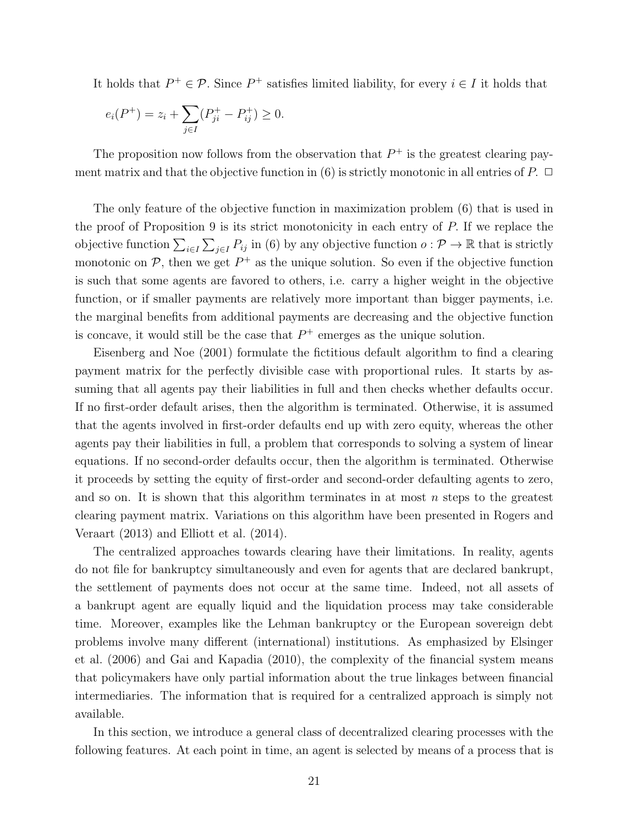It holds that  $P^+ \in \mathcal{P}$ . Since  $P^+$  satisfies limited liability, for every  $i \in I$  it holds that

$$
e_i(P^+) = z_i + \sum_{j \in I} (P_{ji}^+ - P_{ij}^+) \ge 0.
$$

The proposition now follows from the observation that  $P^+$  is the greatest clearing payment matrix and that the objective function in (6) is strictly monotonic in all entries of  $P$ .  $\Box$ 

The only feature of the objective function in maximization problem (6) that is used in the proof of Proposition 9 is its strict monotonicity in each entry of  $P$ . If we replace the objective function  $\sum_{i\in I}\sum_{j\in I}P_{ij}$  in (6) by any objective function  $o: \mathcal{P} \to \mathbb{R}$  that is strictly monotonic on  $P$ , then we get  $P^+$  as the unique solution. So even if the objective function is such that some agents are favored to others, i.e. carry a higher weight in the objective function, or if smaller payments are relatively more important than bigger payments, i.e. the marginal benefits from additional payments are decreasing and the objective function is concave, it would still be the case that  $P^+$  emerges as the unique solution.

Eisenberg and Noe (2001) formulate the fictitious default algorithm to find a clearing payment matrix for the perfectly divisible case with proportional rules. It starts by assuming that all agents pay their liabilities in full and then checks whether defaults occur. If no first-order default arises, then the algorithm is terminated. Otherwise, it is assumed that the agents involved in first-order defaults end up with zero equity, whereas the other agents pay their liabilities in full, a problem that corresponds to solving a system of linear equations. If no second-order defaults occur, then the algorithm is terminated. Otherwise it proceeds by setting the equity of first-order and second-order defaulting agents to zero, and so on. It is shown that this algorithm terminates in at most  $n$  steps to the greatest clearing payment matrix. Variations on this algorithm have been presented in Rogers and Veraart (2013) and Elliott et al. (2014).

The centralized approaches towards clearing have their limitations. In reality, agents do not file for bankruptcy simultaneously and even for agents that are declared bankrupt, the settlement of payments does not occur at the same time. Indeed, not all assets of a bankrupt agent are equally liquid and the liquidation process may take considerable time. Moreover, examples like the Lehman bankruptcy or the European sovereign debt problems involve many different (international) institutions. As emphasized by Elsinger et al. (2006) and Gai and Kapadia (2010), the complexity of the financial system means that policymakers have only partial information about the true linkages between financial intermediaries. The information that is required for a centralized approach is simply not available.

In this section, we introduce a general class of decentralized clearing processes with the following features. At each point in time, an agent is selected by means of a process that is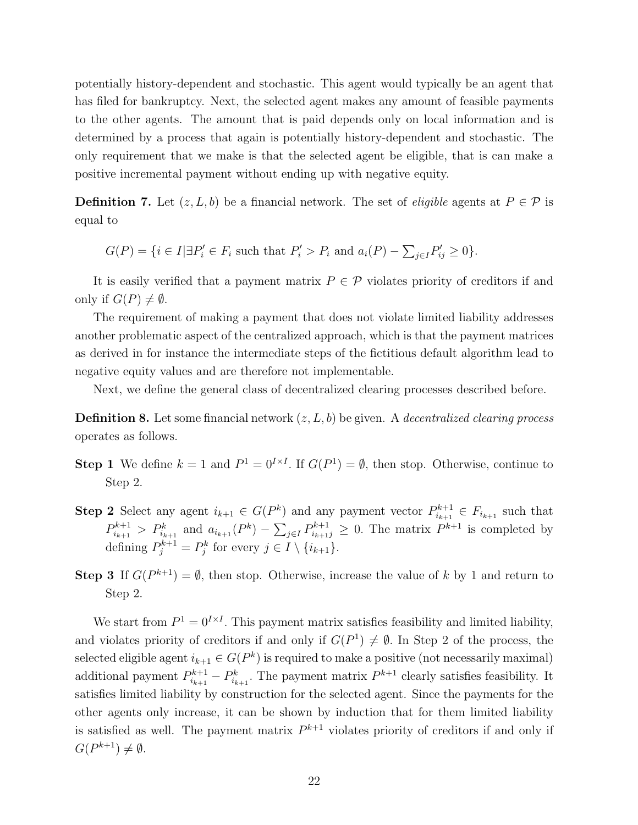potentially history-dependent and stochastic. This agent would typically be an agent that has filed for bankruptcy. Next, the selected agent makes any amount of feasible payments to the other agents. The amount that is paid depends only on local information and is determined by a process that again is potentially history-dependent and stochastic. The only requirement that we make is that the selected agent be eligible, that is can make a positive incremental payment without ending up with negative equity.

**Definition 7.** Let  $(z, L, b)$  be a financial network. The set of *eligible* agents at  $P \in \mathcal{P}$  is equal to

$$
G(P) = \{ i \in I | \exists P_i' \in F_i \text{ such that } P_i' > P_i \text{ and } a_i(P) - \sum_{j \in I} P_{ij}' \ge 0 \}.
$$

It is easily verified that a payment matrix  $P \in \mathcal{P}$  violates priority of creditors if and only if  $G(P) \neq \emptyset$ .

The requirement of making a payment that does not violate limited liability addresses another problematic aspect of the centralized approach, which is that the payment matrices as derived in for instance the intermediate steps of the fictitious default algorithm lead to negative equity values and are therefore not implementable.

Next, we define the general class of decentralized clearing processes described before.

**Definition 8.** Let some financial network  $(z, L, b)$  be given. A decentralized clearing process operates as follows.

- **Step 1** We define  $k = 1$  and  $P^1 = 0^{I \times I}$ . If  $G(P^1) = \emptyset$ , then stop. Otherwise, continue to Step 2.
- **Step 2** Select any agent  $i_{k+1} \in G(P^k)$  and any payment vector  $P_{i_{k+1}}^{k+1}$  $e_{i_{k+1}}^{k+1} \in F_{i_{k+1}}$  such that  $P_{i_{k+1}}^{k+1}$  $I_{i_{k+1}}^{k+1} > P_{i_{k+1}}^{k}$  and  $a_{i_{k+1}}(P^k) - \sum_{j\in I} P_{i_{k+1}j}^{k+1} \geq 0$ . The matrix  $P^{k+1}$  is completed by defining  $P_j^{k+1} = P_j^k$  for every  $j \in I \setminus \{i_{k+1}\}.$
- **Step 3** If  $G(P^{k+1}) = \emptyset$ , then stop. Otherwise, increase the value of k by 1 and return to Step 2.

We start from  $P^1 = 0^{I \times I}$ . This payment matrix satisfies feasibility and limited liability, and violates priority of creditors if and only if  $G(P^1) \neq \emptyset$ . In Step 2 of the process, the selected eligible agent  $i_{k+1} \in G(P^k)$  is required to make a positive (not necessarily maximal) additional payment  $P_{i_{k+1}}^{k+1} - P_{i_{k+1}}^k$ . The payment matrix  $P^{k+1}$  clearly satisfies feasibility. It satisfies limited liability by construction for the selected agent. Since the payments for the other agents only increase, it can be shown by induction that for them limited liability is satisfied as well. The payment matrix  $P^{k+1}$  violates priority of creditors if and only if  $G(P^{k+1}) \neq \emptyset$ .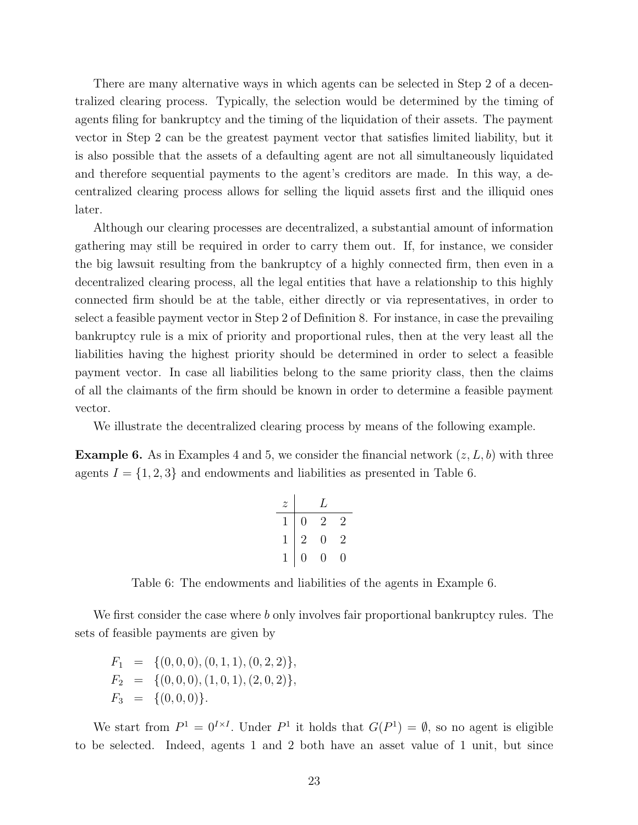There are many alternative ways in which agents can be selected in Step 2 of a decentralized clearing process. Typically, the selection would be determined by the timing of agents filing for bankruptcy and the timing of the liquidation of their assets. The payment vector in Step 2 can be the greatest payment vector that satisfies limited liability, but it is also possible that the assets of a defaulting agent are not all simultaneously liquidated and therefore sequential payments to the agent's creditors are made. In this way, a decentralized clearing process allows for selling the liquid assets first and the illiquid ones later.

Although our clearing processes are decentralized, a substantial amount of information gathering may still be required in order to carry them out. If, for instance, we consider the big lawsuit resulting from the bankruptcy of a highly connected firm, then even in a decentralized clearing process, all the legal entities that have a relationship to this highly connected firm should be at the table, either directly or via representatives, in order to select a feasible payment vector in Step 2 of Definition 8. For instance, in case the prevailing bankruptcy rule is a mix of priority and proportional rules, then at the very least all the liabilities having the highest priority should be determined in order to select a feasible payment vector. In case all liabilities belong to the same priority class, then the claims of all the claimants of the firm should be known in order to determine a feasible payment vector.

We illustrate the decentralized clearing process by means of the following example.

**Example 6.** As in Examples 4 and 5, we consider the financial network  $(z, L, b)$  with three agents  $I = \{1, 2, 3\}$  and endowments and liabilities as presented in Table 6.

| $\tilde{z}$ |   | L                |                  |
|-------------|---|------------------|------------------|
| 1           | 0 | 2                | 2                |
| 1           | 2 | 0                | 2                |
| 1           | 0 | $\left( \right)$ | $\left( \right)$ |

Table 6: The endowments and liabilities of the agents in Example 6.

We first consider the case where b only involves fair proportional bankruptcy rules. The sets of feasible payments are given by

$$
F_1 = \{ (0,0,0), (0,1,1), (0,2,2) \},
$$
  
\n
$$
F_2 = \{ (0,0,0), (1,0,1), (2,0,2) \},
$$
  
\n
$$
F_3 = \{ (0,0,0) \}.
$$

We start from  $P^1 = 0^{I \times I}$ . Under  $P^1$  it holds that  $G(P^1) = \emptyset$ , so no agent is eligible to be selected. Indeed, agents 1 and 2 both have an asset value of 1 unit, but since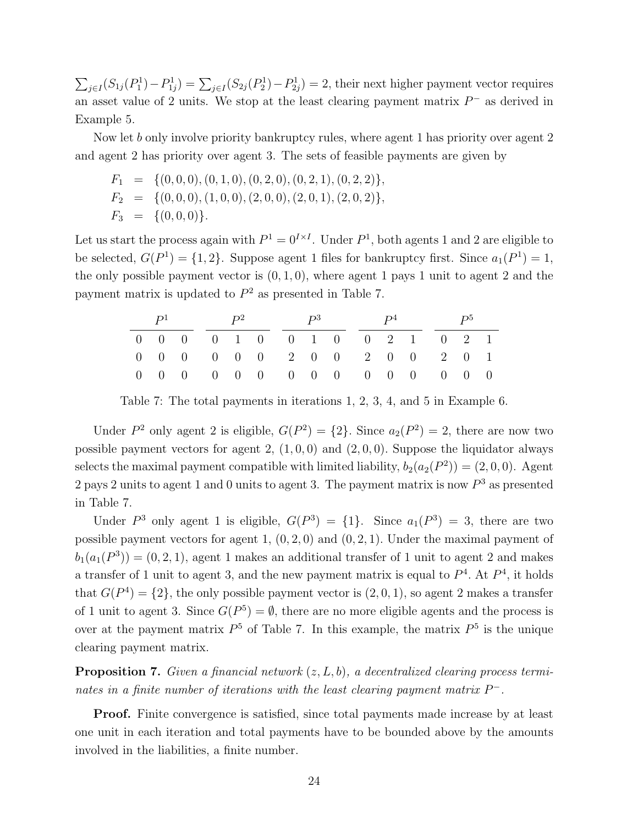$\sum_{j\in I} (S_{1j}(P_1^1) - P_{1j}^1) = \sum_{j\in I} (S_{2j}(P_2^1) - P_{2j}^1) = 2$ , their next higher payment vector requires an asset value of 2 units. We stop at the least clearing payment matrix  $P^-$  as derived in Example 5.

Now let b only involve priority bankruptcy rules, where agent 1 has priority over agent 2 and agent 2 has priority over agent 3. The sets of feasible payments are given by

$$
F_1 = \{ (0,0,0), (0,1,0), (0,2,0), (0,2,1), (0,2,2) \},
$$
  
\n
$$
F_2 = \{ (0,0,0), (1,0,0), (2,0,0), (2,0,1), (2,0,2) \},
$$
  
\n
$$
F_3 = \{ (0,0,0) \}.
$$

Let us start the process again with  $P^1 = 0^{I \times I}$ . Under  $P^1$ , both agents 1 and 2 are eligible to be selected,  $G(P^1) = \{1, 2\}$ . Suppose agent 1 files for bankruptcy first. Since  $a_1(P^1) = 1$ , the only possible payment vector is  $(0, 1, 0)$ , where agent 1 pays 1 unit to agent 2 and the payment matrix is updated to  $P^2$  as presented in Table 7.

| $P^1$ |  |  |  |                                 |  |  |  | $P^2$ $P^3$ $P^4$ $P^5$ |  |  |  |  |  |  |  |
|-------|--|--|--|---------------------------------|--|--|--|-------------------------|--|--|--|--|--|--|--|
|       |  |  |  | 0 0 0 0 1 0 0 1 0 0 0 2 1 0 2 1 |  |  |  |                         |  |  |  |  |  |  |  |
|       |  |  |  | 0 0 0 0 0 0 2 0 0 2 0 0 2 0 1   |  |  |  |                         |  |  |  |  |  |  |  |
|       |  |  |  | 0 0 0 0 0 0 0 0 0 0 0 0 0 0 0 0 |  |  |  |                         |  |  |  |  |  |  |  |

Table 7: The total payments in iterations 1, 2, 3, 4, and 5 in Example 6.

Under  $P^2$  only agent 2 is eligible,  $G(P^2) = \{2\}$ . Since  $a_2(P^2) = 2$ , there are now two possible payment vectors for agent 2,  $(1, 0, 0)$  and  $(2, 0, 0)$ . Suppose the liquidator always selects the maximal payment compatible with limited liability,  $b_2(a_2(P^2)) = (2,0,0)$ . Agent 2 pays 2 units to agent 1 and 0 units to agent 3. The payment matrix is now  $P<sup>3</sup>$  as presented in Table 7.

Under  $P^3$  only agent 1 is eligible,  $G(P^3) = \{1\}$ . Since  $a_1(P^3) = 3$ , there are two possible payment vectors for agent 1,  $(0, 2, 0)$  and  $(0, 2, 1)$ . Under the maximal payment of  $b_1(a_1(P^3)) = (0, 2, 1)$ , agent 1 makes an additional transfer of 1 unit to agent 2 and makes a transfer of 1 unit to agent 3, and the new payment matrix is equal to  $P^4$ . At  $P^4$ , it holds that  $G(P^4) = \{2\}$ , the only possible payment vector is  $(2, 0, 1)$ , so agent 2 makes a transfer of 1 unit to agent 3. Since  $G(P^5) = \emptyset$ , there are no more eligible agents and the process is over at the payment matrix  $P<sup>5</sup>$  of Table 7. In this example, the matrix  $P<sup>5</sup>$  is the unique clearing payment matrix.

**Proposition 7.** Given a financial network  $(z, L, b)$ , a decentralized clearing process terminates in a finite number of iterations with the least clearing payment matrix  $P^-$ .

**Proof.** Finite convergence is satisfied, since total payments made increase by at least one unit in each iteration and total payments have to be bounded above by the amounts involved in the liabilities, a finite number.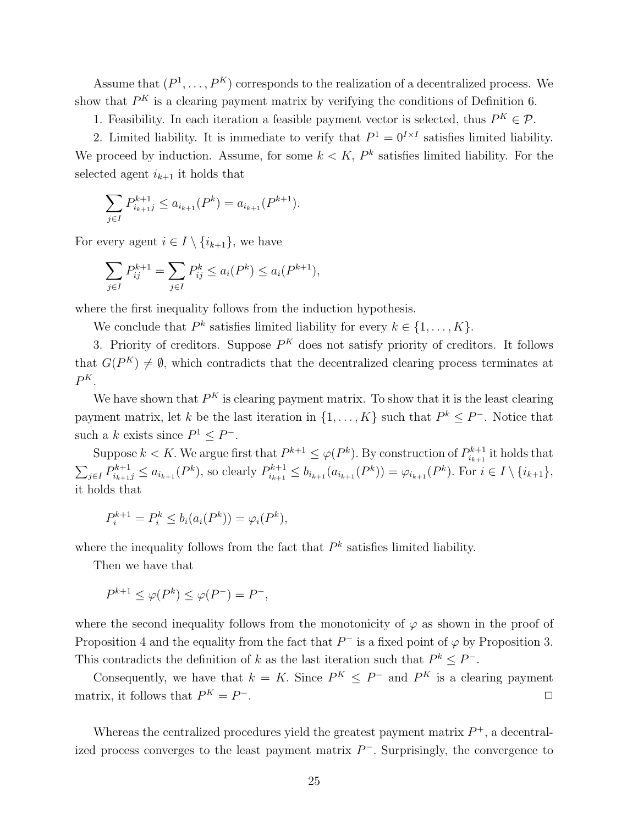Assume that  $(P^1, \ldots, P^K)$  corresponds to the realization of a decentralized process. We show that  $P<sup>K</sup>$  is a clearing payment matrix by verifying the conditions of Definition 6.

1. Feasibility. In each iteration a feasible payment vector is selected, thus  $P^K \in \mathcal{P}$ .

2. Limited liability. It is immediate to verify that  $P^1 = 0^{I \times I}$  satisfies limited liability. We proceed by induction. Assume, for some  $k < K$ ,  $P^k$  satisfies limited liability. For the selected agent  $i_{k+1}$  it holds that

$$
\sum_{j \in I} P_{i_{k+1}j}^{k+1} \le a_{i_{k+1}}(P^k) = a_{i_{k+1}}(P^{k+1}).
$$

For every agent  $i \in I \setminus \{i_{k+1}\}\text{, we have}$ 

$$
\sum_{j \in I} P_{ij}^{k+1} = \sum_{j \in I} P_{ij}^{k} \le a_i(P^k) \le a_i(P^{k+1}),
$$

where the first inequality follows from the induction hypothesis.

We conclude that  $P^k$  satisfies limited liability for every  $k \in \{1, \ldots, K\}$ .

3. Priority of creditors. Suppose  $P<sup>K</sup>$  does not satisfy priority of creditors. It follows that  $G(P^K) \neq \emptyset$ , which contradicts that the decentralized clearing process terminates at  $P^K$ .

We have shown that  $P<sup>K</sup>$  is clearing payment matrix. To show that it is the least clearing payment matrix, let k be the last iteration in  $\{1, \ldots, K\}$  such that  $P^k \leq P^-$ . Notice that such a k exists since  $P^1 \leq P^-$ .

Suppose  $k < K$ . We argue first that  $P^{k+1} \leq \varphi(P^k)$ . By construction of  $P_{i_{k+1}}^{k+1}$  $a_{i_{k+1}}^{k+1}$  it holds that  $\sum_{j\in I} P_{i_{k+1}j}^{k+1} \leq a_{i_{k+1}}(P^k)$ , so clearly  $P_{i_{k+1}}^{k+1} \leq b_{i_{k+1}}(a_{i_{k+1}}(P^k)) = \varphi_{i_{k+1}}(P^k)$ . For  $i \in I \setminus \{i_{k+1}\},$ it holds that

$$
P_i^{k+1} = P_i^k \le b_i(a_i(P^k)) = \varphi_i(P^k),
$$

where the inequality follows from the fact that  $P<sup>k</sup>$  satisfies limited liability.

Then we have that

$$
P^{k+1} \le \varphi(P^k) \le \varphi(P^-) = P^-,
$$

where the second inequality follows from the monotonicity of  $\varphi$  as shown in the proof of Proposition 4 and the equality from the fact that  $P^-$  is a fixed point of  $\varphi$  by Proposition 3. This contradicts the definition of k as the last iteration such that  $P^k \leq P^-$ .

Consequently, we have that  $k = K$ . Since  $P^{K} \leq P^{-}$  and  $P^{K}$  is a clearing payment matrix, it follows that  $P^{K} = F$ <sup>−</sup>. ✷

Whereas the centralized procedures yield the greatest payment matrix  $P^+$ , a decentralized process converges to the least payment matrix  $P^-$ . Surprisingly, the convergence to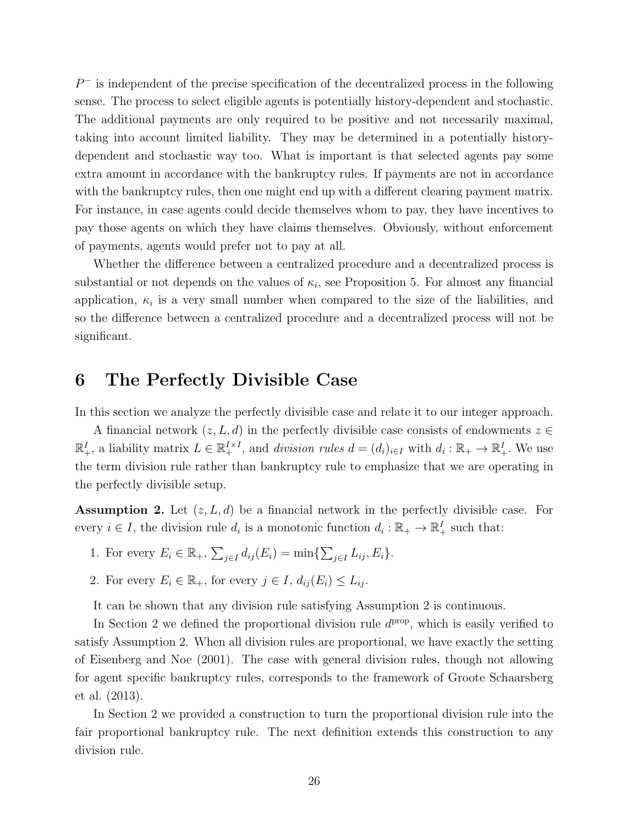$P^-$  is independent of the precise specification of the decentralized process in the following sense. The process to select eligible agents is potentially history-dependent and stochastic. The additional payments are only required to be positive and not necessarily maximal, taking into account limited liability. They may be determined in a potentially historydependent and stochastic way too. What is important is that selected agents pay some extra amount in accordance with the bankruptcy rules. If payments are not in accordance with the bankruptcy rules, then one might end up with a different clearing payment matrix. For instance, in case agents could decide themselves whom to pay, they have incentives to pay those agents on which they have claims themselves. Obviously, without enforcement of payments, agents would prefer not to pay at all.

Whether the difference between a centralized procedure and a decentralized process is substantial or not depends on the values of  $\kappa_i$ , see Proposition 5. For almost any financial application,  $\kappa_i$  is a very small number when compared to the size of the liabilities, and so the difference between a centralized procedure and a decentralized process will not be significant.

#### 6 The Perfectly Divisible Case

In this section we analyze the perfectly divisible case and relate it to our integer approach.

A financial network  $(z, L, d)$  in the perfectly divisible case consists of endowments  $z \in$  $\mathbb{R}^I_+$ , a liability matrix  $L \in \mathbb{R}^{I \times I}_+$ , and *division rules*  $d = (d_i)_{i \in I}$  with  $d_i : \mathbb{R}_+ \to \mathbb{R}^I_+$ . We use the term division rule rather than bankruptcy rule to emphasize that we are operating in the perfectly divisible setup.

**Assumption 2.** Let  $(z, L, d)$  be a financial network in the perfectly divisible case. For every  $i \in I$ , the division rule  $d_i$  is a monotonic function  $d_i : \mathbb{R}_+ \to \mathbb{R}_+^I$  such that:

- 1. For every  $E_i \in \mathbb{R}_+$ ,  $\sum_{j \in I} d_{ij}(E_i) = \min\{\sum_{j \in I} L_{ij}, E_i\}.$
- 2. For every  $E_i \in \mathbb{R}_+$ , for every  $j \in I$ ,  $d_{ij}(E_i) \leq L_{ij}$ .

It can be shown that any division rule satisfying Assumption 2 is continuous.

In Section 2 we defined the proportional division rule  $d<sup>prop</sup>$ , which is easily verified to satisfy Assumption 2. When all division rules are proportional, we have exactly the setting of Eisenberg and Noe (2001). The case with general division rules, though not allowing for agent specific bankruptcy rules, corresponds to the framework of Groote Schaarsberg et al. (2013).

In Section 2 we provided a construction to turn the proportional division rule into the fair proportional bankruptcy rule. The next definition extends this construction to any division rule.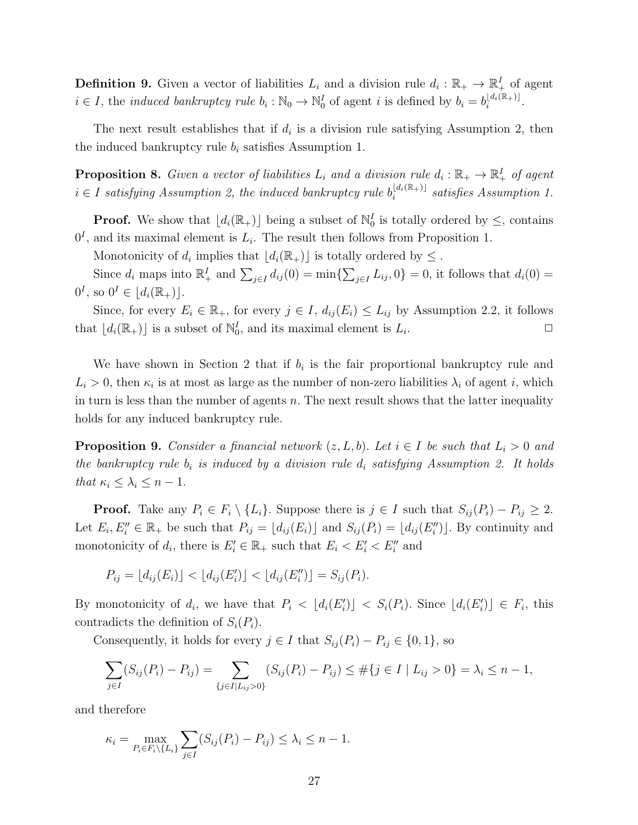**Definition 9.** Given a vector of liabilities  $L_i$  and a division rule  $d_i : \mathbb{R}_+ \to \mathbb{R}_+^I$  of agent  $i \in I$ , the *induced bankruptcy rule*  $b_i : \mathbb{N}_0 \to \mathbb{N}_0^I$  of agent *i* is defined by  $b_i = b_i^{\lfloor d_i(\mathbb{R}_+) \rfloor}$  $\frac{a_i(\mathbb{K}_+)}{i}$ .

The next result establishes that if  $d_i$  is a division rule satisfying Assumption 2, then the induced bankruptcy rule  $b_i$  satisfies Assumption 1.

**Proposition 8.** Given a vector of liabilities  $L_i$  and a division rule  $d_i : \mathbb{R}_+ \to \mathbb{R}_+^I$  of agent  $i \in I$  satisfying Assumption 2, the induced bankruptcy rule  $b_i^{\lfloor d_i(\mathbb{R}_+) \rfloor}$  $\int_{i}^{a_i(\mathbb{R}+1)} satisfies Assumption 1.$ 

**Proof.** We show that  $\lfloor d_i(\mathbb{R}_+) \rfloor$  being a subset of  $\mathbb{N}_0^I$  is totally ordered by  $\leq$ , contains  $0<sup>I</sup>$ , and its maximal element is  $L<sub>i</sub>$ . The result then follows from Proposition 1.

Monotonicity of  $d_i$  implies that  $\lfloor d_i(\mathbb{R}_+) \rfloor$  is totally ordered by  $\leq$ .

Since  $d_i$  maps into  $\mathbb{R}^I_+$  and  $\sum_{j\in I} d_{ij}(0) = \min\{\sum_{j\in I} L_{ij}, 0\} = 0$ , it follows that  $d_i(0) =$  $0^I$ , so  $0^I \in \lfloor d_i(\mathbb{R}_+) \rfloor$ .

Since, for every  $E_i \in \mathbb{R}_+$ , for every  $j \in I$ ,  $d_{ij}(E_i) \leq L_{ij}$  by Assumption 2.2, it follows that  $\lfloor d_i(\mathbb{R}_+) \rfloor$  is a subset of  $\mathbb{N}_0^I$ , and its maximal element is  $L_i$ .  $\square$ 

We have shown in Section 2 that if  $b_i$  is the fair proportional bankruptcy rule and  $L_i > 0$ , then  $\kappa_i$  is at most as large as the number of non-zero liabilities  $\lambda_i$  of agent i, which in turn is less than the number of agents  $n$ . The next result shows that the latter inequality holds for any induced bankruptcy rule.

**Proposition 9.** Consider a financial network  $(z, L, b)$ . Let  $i \in I$  be such that  $L_i > 0$  and the bankruptcy rule  $b_i$  is induced by a division rule  $d_i$  satisfying Assumption 2. It holds that  $\kappa_i \leq \lambda_i \leq n-1$ .

**Proof.** Take any  $P_i \in F_i \setminus \{L_i\}$ . Suppose there is  $j \in I$  such that  $S_{ij}(P_i) - P_{ij} \geq 2$ . Let  $E_i, E''_i \in \mathbb{R}_+$  be such that  $P_{ij} = \lfloor d_{ij}(E_i) \rfloor$  and  $S_{ij}(P_i) = \lfloor d_{ij}(E''_i) \rfloor$ . By continuity and monotonicity of  $d_i$ , there is  $E'_i \in \mathbb{R}_+$  such that  $E_i \lt E''_i \lt E''_i$  and

$$
P_{ij} = \lfloor d_{ij}(E_i) \rfloor < \lfloor d_{ij}(E'_i) \rfloor < \lfloor d_{ij}(E''_i) \rfloor = S_{ij}(P_i).
$$

By monotonicity of  $d_i$ , we have that  $P_i \langle d_i(E'_i) \rangle \langle S_i(P_i) \rangle$ . Since  $\langle d_i(E'_i) \rangle \in F_i$ , this contradicts the definition of  $S_i(P_i)$ .

Consequently, it holds for every  $j \in I$  that  $S_{ij}(P_i) - P_{ij} \in \{0, 1\}$ , so

$$
\sum_{j\in I} (S_{ij}(P_i) - P_{ij}) = \sum_{\{j\in I | L_{ij} > 0\}} (S_{ij}(P_i) - P_{ij}) \leq #\{j \in I \mid L_{ij} > 0\} = \lambda_i \leq n - 1,
$$

and therefore

$$
\kappa_i = \max_{P_i \in F_i \setminus \{L_i\}} \sum_{j \in I} (S_{ij}(P_i) - P_{ij}) \le \lambda_i \le n - 1.
$$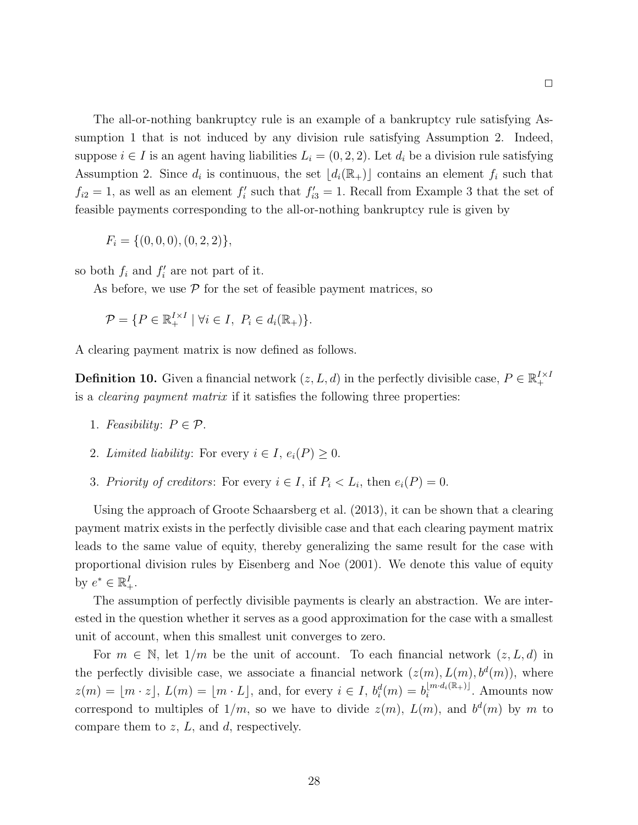The all-or-nothing bankruptcy rule is an example of a bankruptcy rule satisfying Assumption 1 that is not induced by any division rule satisfying Assumption 2. Indeed, suppose  $i \in I$  is an agent having liabilities  $L_i = (0, 2, 2)$ . Let  $d_i$  be a division rule satisfying Assumption 2. Since  $d_i$  is continuous, the set  $\lfloor d_i(\mathbb{R}_+) \rfloor$  contains an element  $f_i$  such that  $f_{i2} = 1$ , as well as an element  $f_i'$  such that  $f_{i3}' = 1$ . Recall from Example 3 that the set of feasible payments corresponding to the all-or-nothing bankruptcy rule is given by

 $F_i = \{(0, 0, 0), (0, 2, 2)\},\$ 

so both  $f_i$  and  $f'_i$  are not part of it.

As before, we use  $P$  for the set of feasible payment matrices, so

$$
\mathcal{P} = \{ P \in \mathbb{R}_+^{I \times I} \mid \forall i \in I, \ P_i \in d_i(\mathbb{R}_+) \}.
$$

A clearing payment matrix is now defined as follows.

**Definition 10.** Given a financial network  $(z, L, d)$  in the perfectly divisible case,  $P \in \mathbb{R}^{I \times I}_{+}$ is a clearing payment matrix if it satisfies the following three properties:

- 1. Feasibility:  $P \in \mathcal{P}$ .
- 2. Limited liability: For every  $i \in I$ ,  $e_i(P) \geq 0$ .
- 3. Priority of creditors: For every  $i \in I$ , if  $P_i < L_i$ , then  $e_i(P) = 0$ .

Using the approach of Groote Schaarsberg et al. (2013), it can be shown that a clearing payment matrix exists in the perfectly divisible case and that each clearing payment matrix leads to the same value of equity, thereby generalizing the same result for the case with proportional division rules by Eisenberg and Noe (2001). We denote this value of equity by  $e^* \in \mathbb{R}^I_+$ .

The assumption of perfectly divisible payments is clearly an abstraction. We are interested in the question whether it serves as a good approximation for the case with a smallest unit of account, when this smallest unit converges to zero.

For  $m \in \mathbb{N}$ , let  $1/m$  be the unit of account. To each financial network  $(z, L, d)$  in the perfectly divisible case, we associate a financial network  $(z(m), L(m), b<sup>d</sup>(m))$ , where  $z(m) = \lfloor m \cdot z \rfloor, L(m) = \lfloor m \cdot L \rfloor$ , and, for every  $i \in I$ ,  $b_i^d(m) = b_i^{\lfloor m \cdot d_i(\mathbb{R}_+) \rfloor}$  $\int_{i}^{\lfloor m \cdot a_i(\mathbb{K}_+) \rfloor}$ . Amounts now correspond to multiples of  $1/m$ , so we have to divide  $z(m)$ ,  $L(m)$ , and  $b<sup>d</sup>(m)$  by m to compare them to  $z, L$ , and  $d$ , respectively.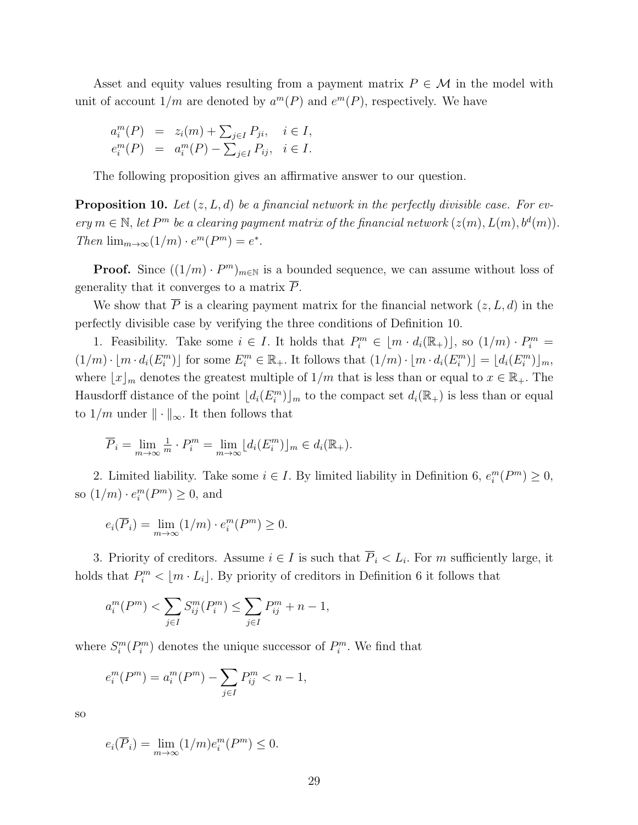Asset and equity values resulting from a payment matrix  $P \in \mathcal{M}$  in the model with unit of account  $1/m$  are denoted by  $a^m(P)$  and  $e^m(P)$ , respectively. We have

$$
a_i^{m}(P) = z_i(m) + \sum_{j \in I} P_{ji}, \quad i \in I, e_i^{m}(P) = a_i^{m}(P) - \sum_{j \in I} P_{ij}, \quad i \in I.
$$

The following proposition gives an affirmative answer to our question.

**Proposition 10.** Let  $(z, L, d)$  be a financial network in the perfectly divisible case. For every  $m \in \mathbb{N}$ , let  $P^m$  be a clearing payment matrix of the financial network  $(z(m), L(m), b^d(m))$ . Then  $\lim_{m\to\infty}(1/m) \cdot e^m(P^m) = e^*$ .

**Proof.** Since  $((1/m) \cdot P^m)_{m \in \mathbb{N}}$  is a bounded sequence, we can assume without loss of generality that it converges to a matrix  $\overline{P}$ .

We show that  $\overline{P}$  is a clearing payment matrix for the financial network  $(z, L, d)$  in the perfectly divisible case by verifying the three conditions of Definition 10.

1. Feasibility. Take some  $i \in I$ . It holds that  $P_i^m \in [m \cdot d_i(\mathbb{R}_+)]$ , so  $(1/m) \cdot P_i^m =$  $(1/m) \cdot [m \cdot d_i(E_i^m)]$  for some  $E_i^m \in \mathbb{R}_+$ . It follows that  $(1/m) \cdot [m \cdot d_i(E_i^m)] = [d_i(E_i^m)]_m$ , where  $\lfloor x \rfloor_m$  denotes the greatest multiple of  $1/m$  that is less than or equal to  $x \in \mathbb{R}_+$ . The Hausdorff distance of the point  $\lfloor d_i(E_i^m)\rfloor_m$  to the compact set  $d_i(\mathbb{R}_+)$  is less than or equal to  $1/m$  under  $\|\cdot\|_{\infty}$ . It then follows that

$$
\overline{P}_i = \lim_{m \to \infty} \frac{1}{m} \cdot P_i^m = \lim_{m \to \infty} \lfloor d_i(E_i^m) \rfloor_m \in d_i(\mathbb{R}_+).
$$

2. Limited liability. Take some  $i \in I$ . By limited liability in Definition 6,  $e_i^m(P^m) \geq 0$ , so  $(1/m) \cdot e_i^m(P^m) \geq 0$ , and

$$
e_i(\overline{P}_i) = \lim_{m \to \infty} (1/m) \cdot e_i^m(P^m) \ge 0.
$$

3. Priority of creditors. Assume  $i \in I$  is such that  $\overline{P}_i < L_i$ . For m sufficiently large, it holds that  $P_i^m < [m \cdot L_i]$ . By priority of creditors in Definition 6 it follows that

$$
a_i^m(P^m) < \sum_{j \in I} S_{ij}^m(P_i^m) \le \sum_{j \in I} P_{ij}^m + n - 1,
$$

where  $S_i^m(P_i^m)$  denotes the unique successor of  $P_i^m$ . We find that

$$
e_i^m(P^m) = a_i^m(P^m) - \sum_{j \in I} P_{ij}^m < n - 1,
$$

so

$$
e_i(\overline{P}_i) = \lim_{m \to \infty} (1/m) e_i^m(P^m) \le 0.
$$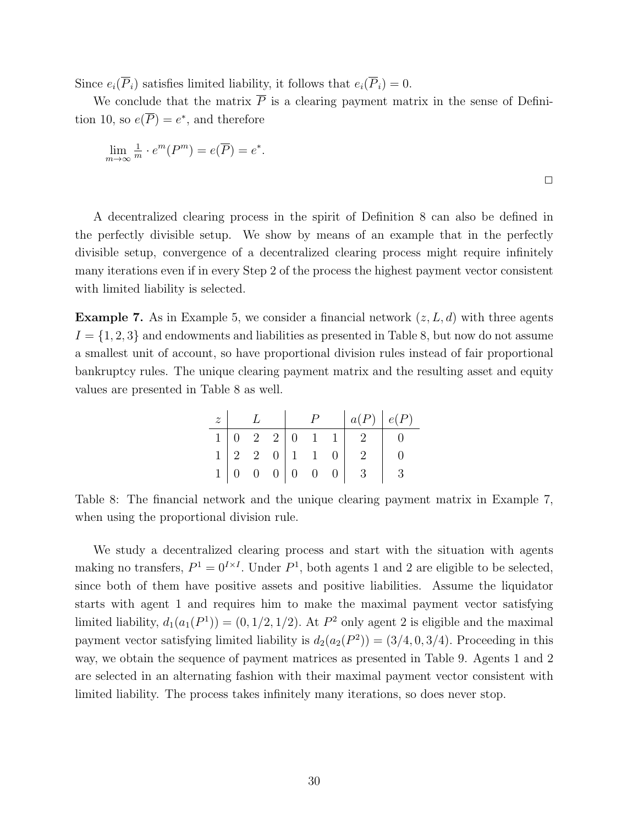Since  $e_i(\overline{P}_i)$  satisfies limited liability, it follows that  $e_i(\overline{P}_i) = 0$ .

We conclude that the matrix  $\overline{P}$  is a clearing payment matrix in the sense of Definition 10, so  $e(\overline{P}) = e^*$ , and therefore

$$
\lim_{m \to \infty} \frac{1}{m} \cdot e^m(P^m) = e(\overline{P}) = e^*.
$$

A decentralized clearing process in the spirit of Definition 8 can also be defined in the perfectly divisible setup. We show by means of an example that in the perfectly divisible setup, convergence of a decentralized clearing process might require infinitely many iterations even if in every Step 2 of the process the highest payment vector consistent with limited liability is selected.

**Example 7.** As in Example 5, we consider a financial network  $(z, L, d)$  with three agents  $I = \{1, 2, 3\}$  and endowments and liabilities as presented in Table 8, but now do not assume a smallest unit of account, so have proportional division rules instead of fair proportional bankruptcy rules. The unique clearing payment matrix and the resulting asset and equity values are presented in Table 8 as well.

|  | $z \perp L$ |  |                                                   | $\left  P \right  a(P) \left  e(P) \right $                                            |  |  |
|--|-------------|--|---------------------------------------------------|----------------------------------------------------------------------------------------|--|--|
|  |             |  |                                                   | $\boxed{1 \mid 0 \quad 2 \quad 2 \mid 0 \quad 1 \quad 1 \mid 2}$                       |  |  |
|  |             |  | $1 \begin{bmatrix} 2 & 2 & 0 \end{bmatrix}$ 1 1 0 | 2                                                                                      |  |  |
|  |             |  |                                                   | $1 \begin{array}{ c c c c c c c c } \hline 1 & 0 & 0 & 0 & 0 & 3 \ \hline \end{array}$ |  |  |

Table 8: The financial network and the unique clearing payment matrix in Example 7, when using the proportional division rule.

We study a decentralized clearing process and start with the situation with agents making no transfers,  $P^1 = 0^{I \times I}$ . Under  $P^1$ , both agents 1 and 2 are eligible to be selected, since both of them have positive assets and positive liabilities. Assume the liquidator starts with agent 1 and requires him to make the maximal payment vector satisfying limited liability,  $d_1(a_1(P^1)) = (0, 1/2, 1/2)$ . At  $P^2$  only agent 2 is eligible and the maximal payment vector satisfying limited liability is  $d_2(a_2(P^2)) = (3/4, 0, 3/4)$ . Proceeding in this way, we obtain the sequence of payment matrices as presented in Table 9. Agents 1 and 2 are selected in an alternating fashion with their maximal payment vector consistent with limited liability. The process takes infinitely many iterations, so does never stop.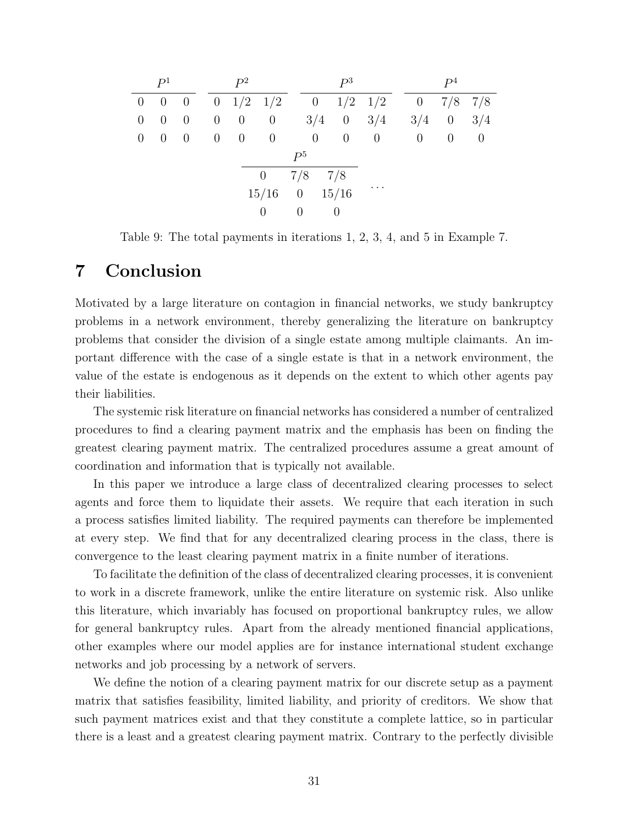|                | P <sup>1</sup> |                |                | $P^2$           |                |                |                                  |     | $P^3$          |                |                | D <sup>4</sup> |                |
|----------------|----------------|----------------|----------------|-----------------|----------------|----------------|----------------------------------|-----|----------------|----------------|----------------|----------------|----------------|
| $0 \quad 0$    |                | $\overline{0}$ |                | $0 \t1/2 \t1/2$ |                |                |                                  |     | 0 $1/2$ $1/2$  |                | $\overline{0}$ | 7/8            | 7/8            |
| $\theta$       | $\overline{0}$ | $\overline{0}$ | $\overline{0}$ | $\overline{0}$  | $\overline{0}$ |                | 3/4                              |     | $\overline{0}$ | 3/4            | 3/4            | $\overline{0}$ | 3/4            |
| $\overline{0}$ | $\overline{0}$ | $\overline{0}$ | $\overline{0}$ | $\overline{0}$  | $\overline{0}$ |                | $\overline{0}$                   |     | $\overline{0}$ | $\overline{0}$ | $\theta$       | $\overline{0}$ | $\overline{0}$ |
|                |                |                |                |                 |                | P <sup>5</sup> |                                  |     |                |                |                |                |                |
|                |                |                |                |                 | $\theta$       | 7/8            |                                  | 7/8 |                |                |                |                |                |
|                |                |                |                |                 | 15/16          |                | $\begin{array}{c} 0 \end{array}$ |     | 15/16          | $\cdots$       |                |                |                |
|                |                |                |                |                 | $\theta$       | $\theta$       |                                  |     | $\theta$       |                |                |                |                |

Table 9: The total payments in iterations 1, 2, 3, 4, and 5 in Example 7.

## 7 Conclusion

Motivated by a large literature on contagion in financial networks, we study bankruptcy problems in a network environment, thereby generalizing the literature on bankruptcy problems that consider the division of a single estate among multiple claimants. An important difference with the case of a single estate is that in a network environment, the value of the estate is endogenous as it depends on the extent to which other agents pay their liabilities.

The systemic risk literature on financial networks has considered a number of centralized procedures to find a clearing payment matrix and the emphasis has been on finding the greatest clearing payment matrix. The centralized procedures assume a great amount of coordination and information that is typically not available.

In this paper we introduce a large class of decentralized clearing processes to select agents and force them to liquidate their assets. We require that each iteration in such a process satisfies limited liability. The required payments can therefore be implemented at every step. We find that for any decentralized clearing process in the class, there is convergence to the least clearing payment matrix in a finite number of iterations.

To facilitate the definition of the class of decentralized clearing processes, it is convenient to work in a discrete framework, unlike the entire literature on systemic risk. Also unlike this literature, which invariably has focused on proportional bankruptcy rules, we allow for general bankruptcy rules. Apart from the already mentioned financial applications, other examples where our model applies are for instance international student exchange networks and job processing by a network of servers.

We define the notion of a clearing payment matrix for our discrete setup as a payment matrix that satisfies feasibility, limited liability, and priority of creditors. We show that such payment matrices exist and that they constitute a complete lattice, so in particular there is a least and a greatest clearing payment matrix. Contrary to the perfectly divisible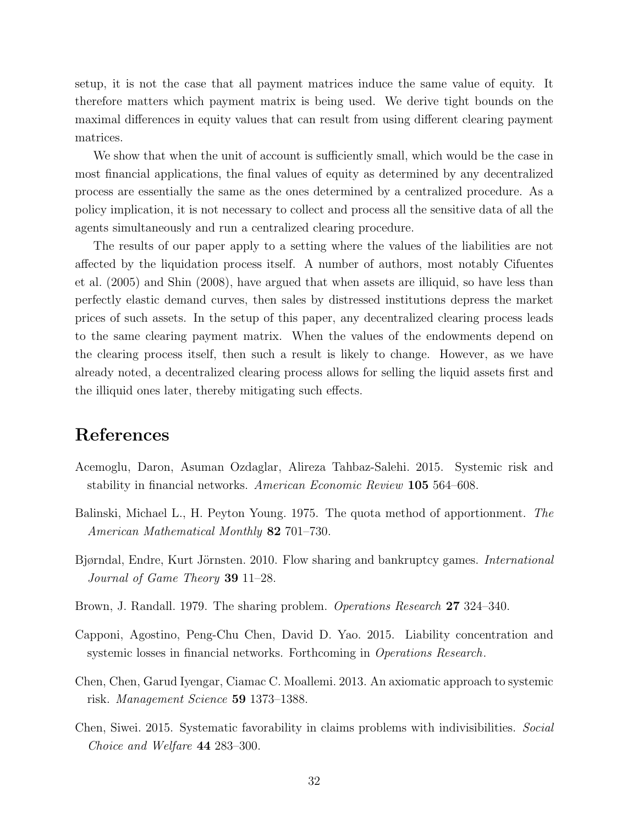setup, it is not the case that all payment matrices induce the same value of equity. It therefore matters which payment matrix is being used. We derive tight bounds on the maximal differences in equity values that can result from using different clearing payment matrices.

We show that when the unit of account is sufficiently small, which would be the case in most financial applications, the final values of equity as determined by any decentralized process are essentially the same as the ones determined by a centralized procedure. As a policy implication, it is not necessary to collect and process all the sensitive data of all the agents simultaneously and run a centralized clearing procedure.

The results of our paper apply to a setting where the values of the liabilities are not affected by the liquidation process itself. A number of authors, most notably Cifuentes et al. (2005) and Shin (2008), have argued that when assets are illiquid, so have less than perfectly elastic demand curves, then sales by distressed institutions depress the market prices of such assets. In the setup of this paper, any decentralized clearing process leads to the same clearing payment matrix. When the values of the endowments depend on the clearing process itself, then such a result is likely to change. However, as we have already noted, a decentralized clearing process allows for selling the liquid assets first and the illiquid ones later, thereby mitigating such effects.

## References

- Acemoglu, Daron, Asuman Ozdaglar, Alireza Tahbaz-Salehi. 2015. Systemic risk and stability in financial networks. American Economic Review 105 564–608.
- Balinski, Michael L., H. Peyton Young. 1975. The quota method of apportionment. The American Mathematical Monthly 82 701–730.
- Bjørndal, Endre, Kurt Jörnsten. 2010. Flow sharing and bankruptcy games. International Journal of Game Theory 39 11–28.
- Brown, J. Randall. 1979. The sharing problem. Operations Research 27 324–340.
- Capponi, Agostino, Peng-Chu Chen, David D. Yao. 2015. Liability concentration and systemic losses in financial networks. Forthcoming in *Operations Research*.
- Chen, Chen, Garud Iyengar, Ciamac C. Moallemi. 2013. An axiomatic approach to systemic risk. Management Science 59 1373–1388.
- Chen, Siwei. 2015. Systematic favorability in claims problems with indivisibilities. Social Choice and Welfare 44 283–300.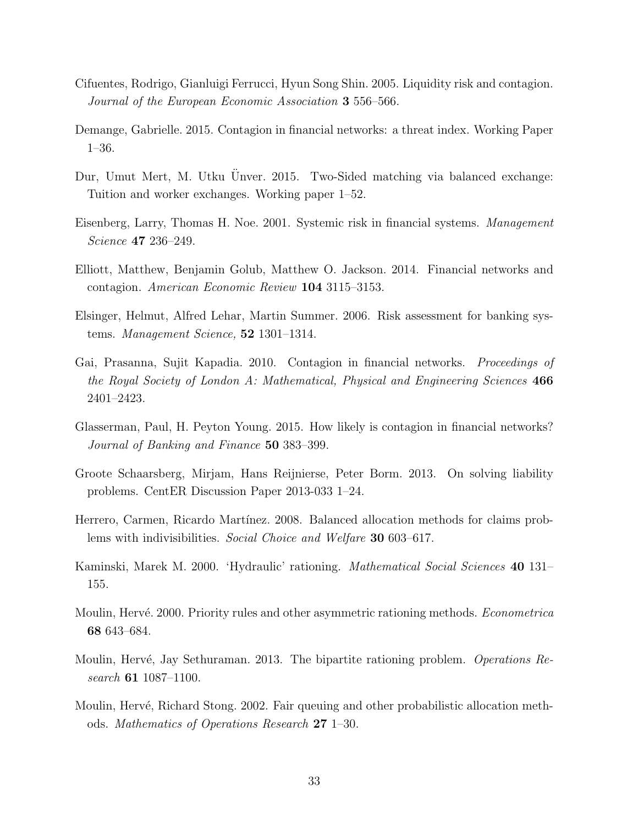- Cifuentes, Rodrigo, Gianluigi Ferrucci, Hyun Song Shin. 2005. Liquidity risk and contagion. Journal of the European Economic Association 3 556–566.
- Demange, Gabrielle. 2015. Contagion in financial networks: a threat index. Working Paper 1–36.
- Dur, Umut Mert, M. Utku Unver. 2015. Two-Sided matching via balanced exchange: Tuition and worker exchanges. Working paper 1–52.
- Eisenberg, Larry, Thomas H. Noe. 2001. Systemic risk in financial systems. Management Science 47 236–249.
- Elliott, Matthew, Benjamin Golub, Matthew O. Jackson. 2014. Financial networks and contagion. American Economic Review 104 3115–3153.
- Elsinger, Helmut, Alfred Lehar, Martin Summer. 2006. Risk assessment for banking systems. Management Science, 52 1301–1314.
- Gai, Prasanna, Sujit Kapadia. 2010. Contagion in financial networks. Proceedings of the Royal Society of London A: Mathematical, Physical and Engineering Sciences 466 2401–2423.
- Glasserman, Paul, H. Peyton Young. 2015. How likely is contagion in financial networks? Journal of Banking and Finance 50 383–399.
- Groote Schaarsberg, Mirjam, Hans Reijnierse, Peter Borm. 2013. On solving liability problems. CentER Discussion Paper 2013-033 1–24.
- Herrero, Carmen, Ricardo Martínez. 2008. Balanced allocation methods for claims problems with indivisibilities. Social Choice and Welfare **30** 603–617.
- Kaminski, Marek M. 2000. 'Hydraulic' rationing. Mathematical Social Sciences 40 131– 155.
- Moulin, Hervé. 2000. Priority rules and other asymmetric rationing methods. *Econometrica* 68 643–684.
- Moulin, Hervé, Jay Sethuraman. 2013. The bipartite rationing problem. *Operations Re*search 61 1087–1100.
- Moulin, Hervé, Richard Stong. 2002. Fair queuing and other probabilistic allocation methods. Mathematics of Operations Research 27 1–30.